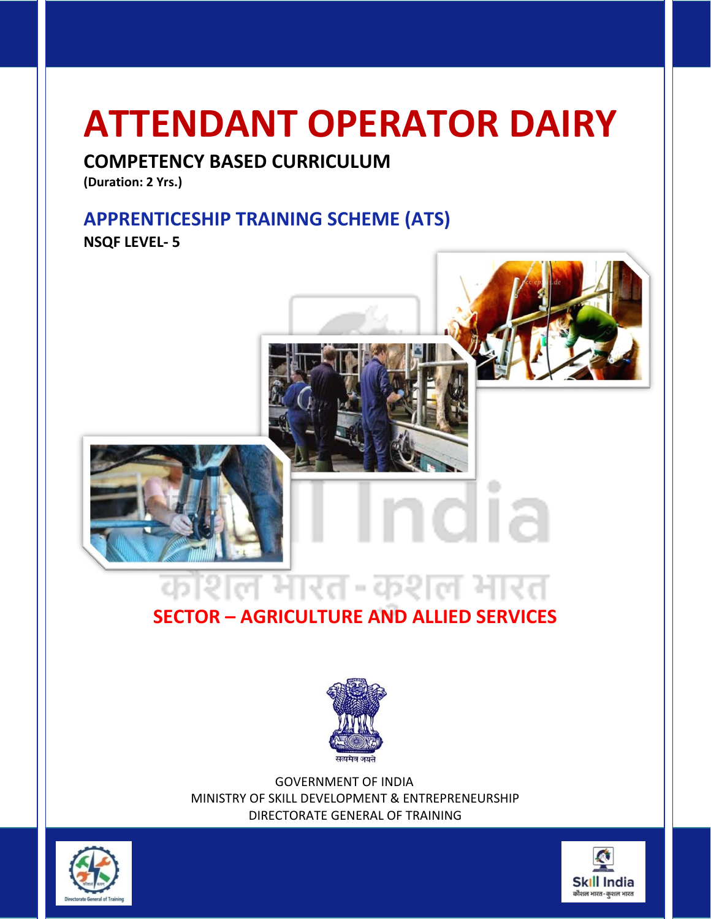### **ATTENDANT OPERATOR DAIRY**

#### **COMPETENCY BASED CURRICULUM**

**(Duration: 2 Yrs.)**

#### **APPRENTICESHIP TRAINING SCHEME (ATS) NSQF LEVEL- 5**



### l

#### **SECTOR – AGRICULTURE AND ALLIED SERVICES**



 GOVERNMENT OF INDIA MINISTRY OF SKILL DEVELOPMENT & ENTREPRENEURSHIP DIRECTORATE GENERAL OF TRAINING



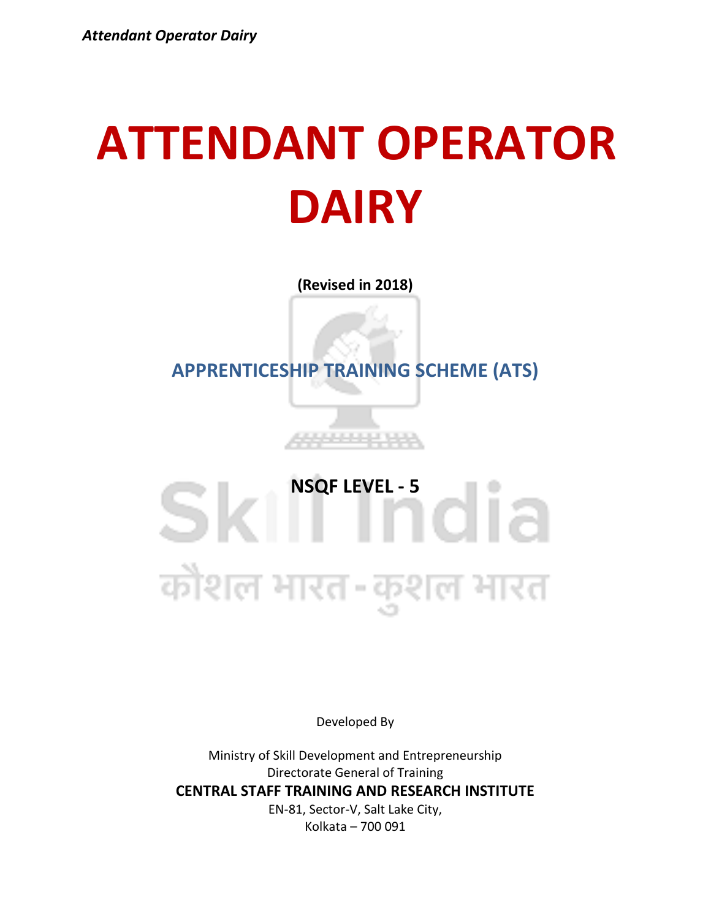### **ATTENDANT OPERATOR DAIRY**

**(Revised in 2018)**

**APPRENTICESHIP TRAINING SCHEME (ATS)**

# **SKI NSQF LEVEL - 5**<br> **SKI 1 1 0 1 a** कौशल भारत-कुशल भारत

Developed By

Ministry of Skill Development and Entrepreneurship Directorate General of Training **CENTRAL STAFF TRAINING AND RESEARCH INSTITUTE** EN-81, Sector-V, Salt Lake City, Kolkata – 700 091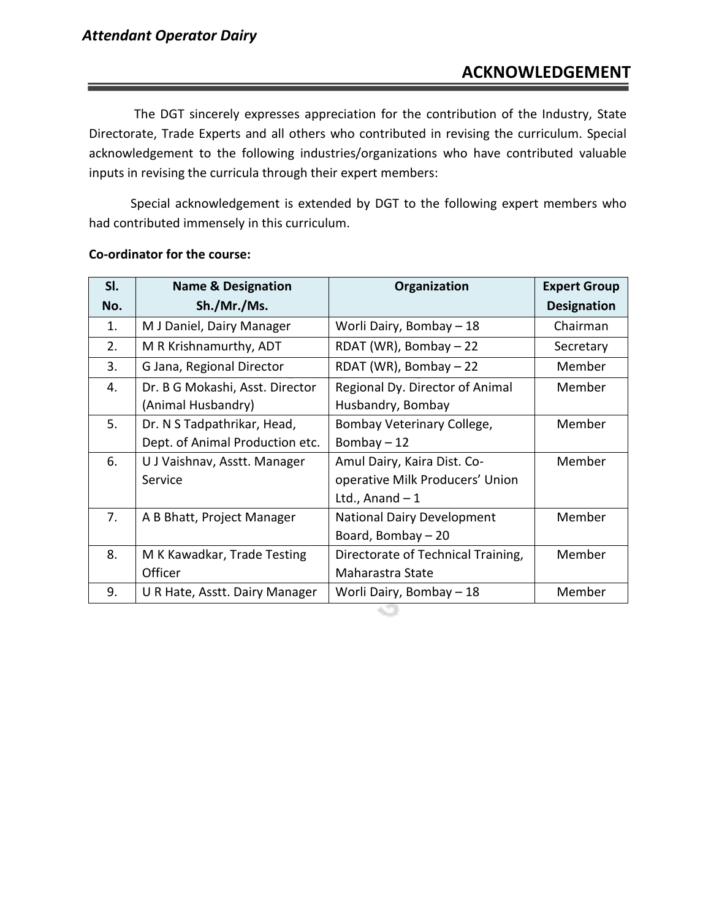The DGT sincerely expresses appreciation for the contribution of the Industry, State Directorate, Trade Experts and all others who contributed in revising the curriculum. Special acknowledgement to the following industries/organizations who have contributed valuable inputs in revising the curricula through their expert members:

Special acknowledgement is extended by DGT to the following expert members who had contributed immensely in this curriculum.

| SI. | <b>Name &amp; Designation</b>   | Organization                       | <b>Expert Group</b> |
|-----|---------------------------------|------------------------------------|---------------------|
| No. | Sh./Mr./Ms.                     |                                    | <b>Designation</b>  |
| 1.  | M J Daniel, Dairy Manager       | Worli Dairy, Bombay - 18           | Chairman            |
| 2.  | M R Krishnamurthy, ADT          | RDAT (WR), Bombay $-22$            | Secretary           |
| 3.  | G Jana, Regional Director       | RDAT (WR), Bombay - 22             | Member              |
| 4.  | Dr. B G Mokashi, Asst. Director | Regional Dy. Director of Animal    | Member              |
|     | (Animal Husbandry)              | Husbandry, Bombay                  |                     |
| 5.  | Dr. N S Tadpathrikar, Head,     | Bombay Veterinary College,         | Member              |
|     | Dept. of Animal Production etc. | Bombay $-12$                       |                     |
| 6.  | U J Vaishnav, Asstt. Manager    | Amul Dairy, Kaira Dist. Co-        | Member              |
|     | Service                         | operative Milk Producers' Union    |                     |
|     |                                 | Ltd., Anand $-1$                   |                     |
| 7.  | A B Bhatt, Project Manager      | <b>National Dairy Development</b>  | Member              |
|     |                                 | Board, Bombay - 20                 |                     |
| 8.  | M K Kawadkar, Trade Testing     | Directorate of Technical Training, | Member              |
|     | Officer                         | Maharastra State                   |                     |
| 9.  | U R Hate, Asstt. Dairy Manager  | Worli Dairy, Bombay - 18           | Member              |

#### **Co-ordinator for the course:**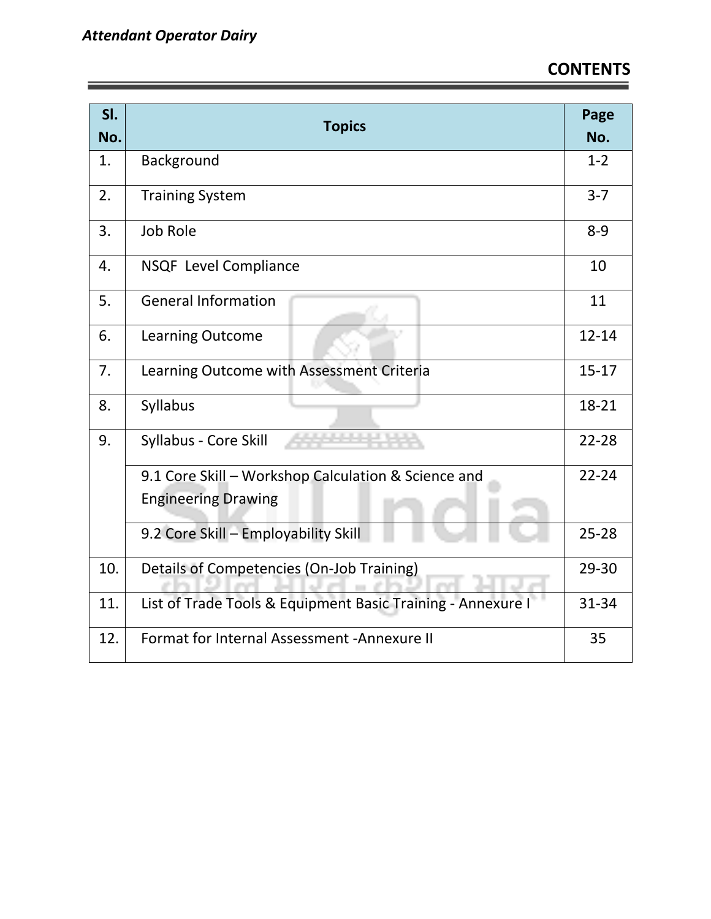| SI.<br>No. | <b>Topics</b>                                               | Page<br>No. |
|------------|-------------------------------------------------------------|-------------|
| 1.         | Background                                                  | $1 - 2$     |
| 2.         | <b>Training System</b>                                      | $3 - 7$     |
| 3.         | Job Role                                                    | $8 - 9$     |
| 4.         | <b>NSQF</b> Level Compliance                                | 10          |
| 5.         | <b>General Information</b>                                  | 11          |
| 6.         | <b>Learning Outcome</b>                                     | $12 - 14$   |
| 7.         | Learning Outcome with Assessment Criteria                   | $15 - 17$   |
| 8.         | Syllabus                                                    | 18-21       |
| 9.         | Syllabus - Core Skill                                       | $22 - 28$   |
|            | 9.1 Core Skill - Workshop Calculation & Science and         | $22 - 24$   |
|            | <b>Engineering Drawing</b>                                  |             |
|            | 9.2 Core Skill - Employability Skill                        | $25 - 28$   |
| 10.        | Details of Competencies (On-Job Training)                   | 29-30       |
| 11.        | List of Trade Tools & Equipment Basic Training - Annexure I | 31-34       |
| 12.        | Format for Internal Assessment - Annexure II                | 35          |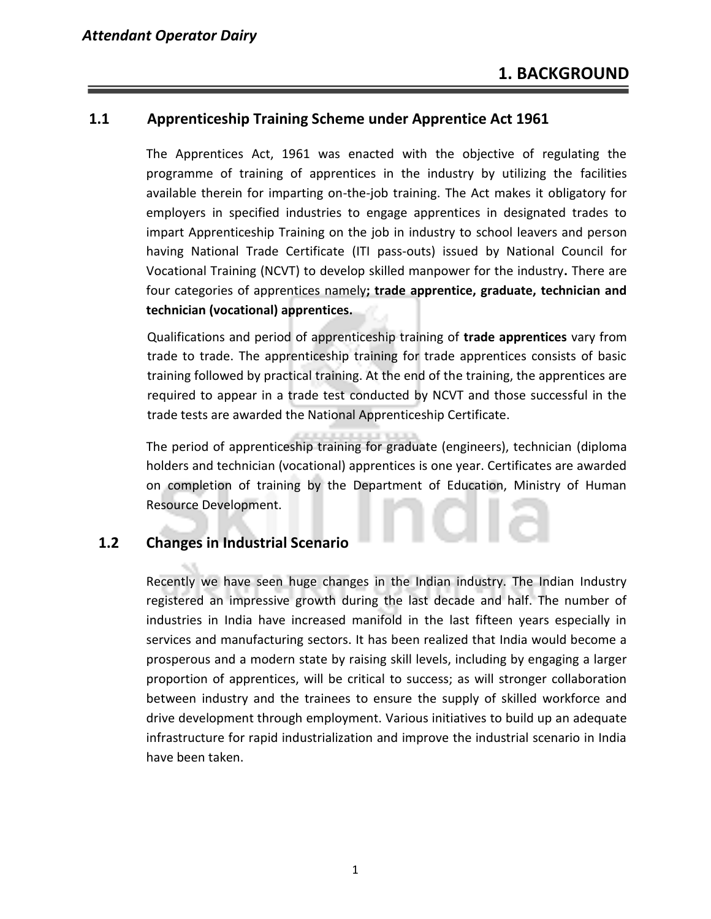#### **1.1 Apprenticeship Training Scheme under Apprentice Act 1961**

The Apprentices Act, 1961 was enacted with the objective of regulating the programme of training of apprentices in the industry by utilizing the facilities available therein for imparting on-the-job training. The Act makes it obligatory for employers in specified industries to engage apprentices in designated trades to impart Apprenticeship Training on the job in industry to school leavers and person having National Trade Certificate (ITI pass-outs) issued by National Council for Vocational Training (NCVT) to develop skilled manpower for the industry**.** There are four categories of apprentices namely**; trade apprentice, graduate, technician and technician (vocational) apprentices.** 

Qualifications and period of apprenticeship training of **trade apprentices** vary from trade to trade. The apprenticeship training for trade apprentices consists of basic training followed by practical training. At the end of the training, the apprentices are required to appear in a trade test conducted by NCVT and those successful in the trade tests are awarded the National Apprenticeship Certificate.

The period of apprenticeship training for graduate (engineers), technician (diploma holders and technician (vocational) apprentices is one year. Certificates are awarded on completion of training by the Department of Education, Ministry of Human Resource Development.

#### **1.2 Changes in Industrial Scenario**

Recently we have seen huge changes in the Indian industry. The Indian Industry registered an impressive growth during the last decade and half. The number of industries in India have increased manifold in the last fifteen years especially in services and manufacturing sectors. It has been realized that India would become a prosperous and a modern state by raising skill levels, including by engaging a larger proportion of apprentices, will be critical to success; as will stronger collaboration between industry and the trainees to ensure the supply of skilled workforce and drive development through employment. Various initiatives to build up an adequate infrastructure for rapid industrialization and improve the industrial scenario in India have been taken.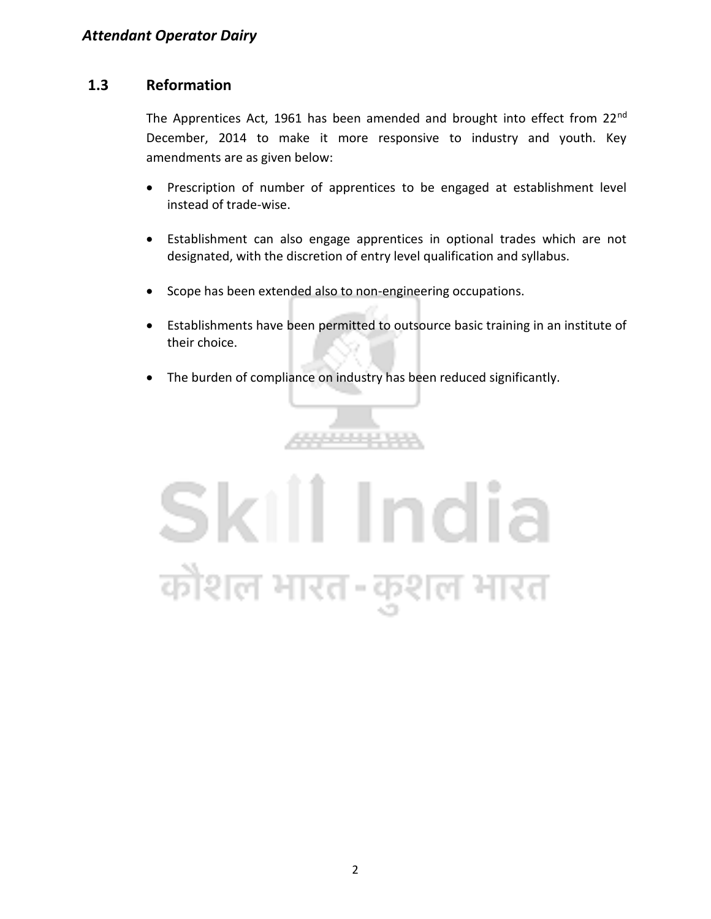#### **1.3 Reformation**

The Apprentices Act, 1961 has been amended and brought into effect from 22<sup>nd</sup> December, 2014 to make it more responsive to industry and youth. Key amendments are as given below:

- Prescription of number of apprentices to be engaged at establishment level instead of trade-wise.
- Establishment can also engage apprentices in optional trades which are not designated, with the discretion of entry level qualification and syllabus.
- Scope has been extended also to non-engineering occupations.
- Establishments have been permitted to outsource basic training in an institute of their choice.
- The burden of compliance on industry has been reduced significantly.

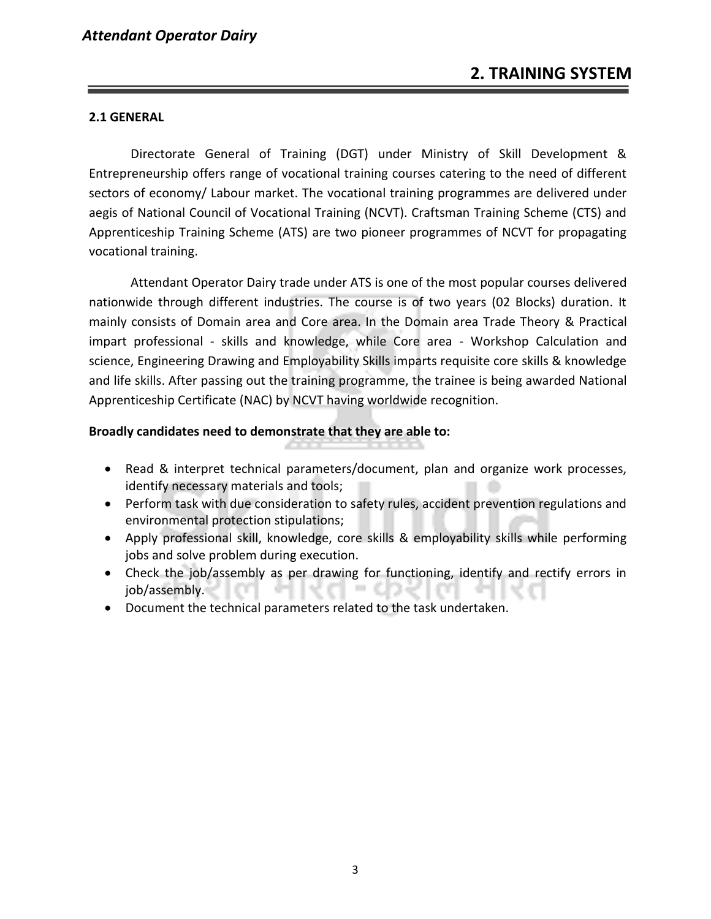#### **2.1 GENERAL**

Directorate General of Training (DGT) under Ministry of Skill Development & Entrepreneurship offers range of vocational training courses catering to the need of different sectors of economy/ Labour market. The vocational training programmes are delivered under aegis of National Council of Vocational Training (NCVT). Craftsman Training Scheme (CTS) and Apprenticeship Training Scheme (ATS) are two pioneer programmes of NCVT for propagating vocational training.

Attendant Operator Dairy trade under ATS is one of the most popular courses delivered nationwide through different industries. The course is of two years (02 Blocks) duration. It mainly consists of Domain area and Core area. In the Domain area Trade Theory & Practical impart professional - skills and knowledge, while Core area - Workshop Calculation and science, Engineering Drawing and Employability Skills imparts requisite core skills & knowledge and life skills. After passing out the training programme, the trainee is being awarded National Apprenticeship Certificate (NAC) by NCVT having worldwide recognition.

#### **Broadly candidates need to demonstrate that they are able to:**

- Read & interpret technical parameters/document, plan and organize work processes, identify necessary materials and tools;
- Perform task with due consideration to safety rules, accident prevention regulations and environmental protection stipulations;
- Apply professional skill, knowledge, core skills & employability skills while performing jobs and solve problem during execution.
- Check the job/assembly as per drawing for functioning, identify and rectify errors in job/assembly.
- Document the technical parameters related to the task undertaken.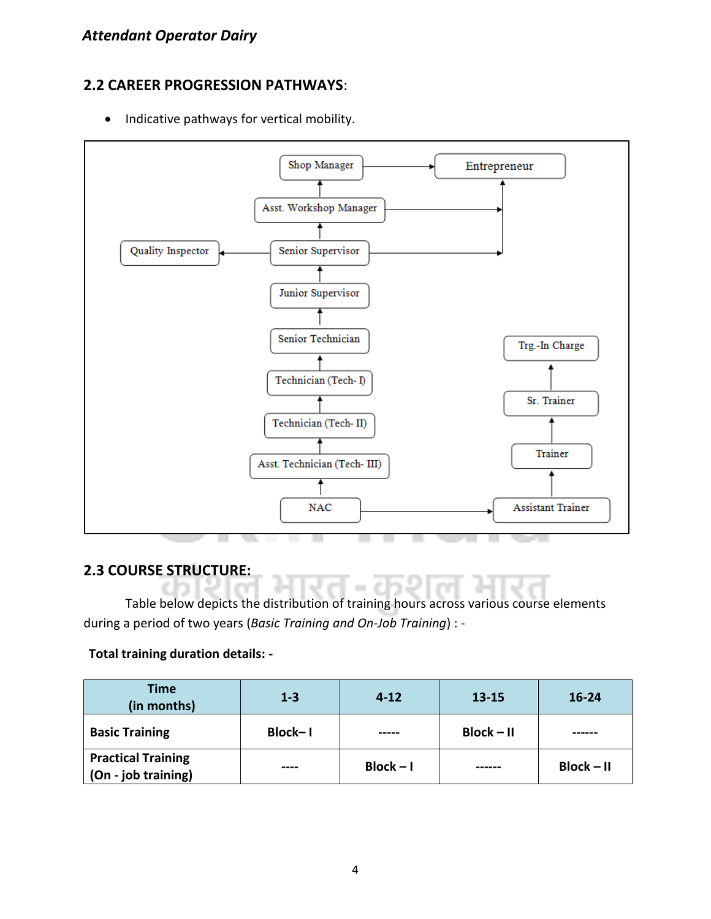#### **2.2 CAREER PROGRESSION PATHWAYS**:

• Indicative pathways for vertical mobility.



#### **2.3 COURSE STRUCTURE:**

Table below depicts the distribution of training hours across various course elements during a period of two years (*Basic Training and On-Job Training*) : -

#### **Total training duration details: -**

| <b>Time</b><br>(in months)                       | $1 - 3$ | $4 - 12$    | $13 - 15$    | $16 - 24$    |
|--------------------------------------------------|---------|-------------|--------------|--------------|
| <b>Basic Training</b>                            | Block-I |             | $Block - II$ |              |
| <b>Practical Training</b><br>(On - job training) | ----    | $Block - I$ | ------       | $Block - II$ |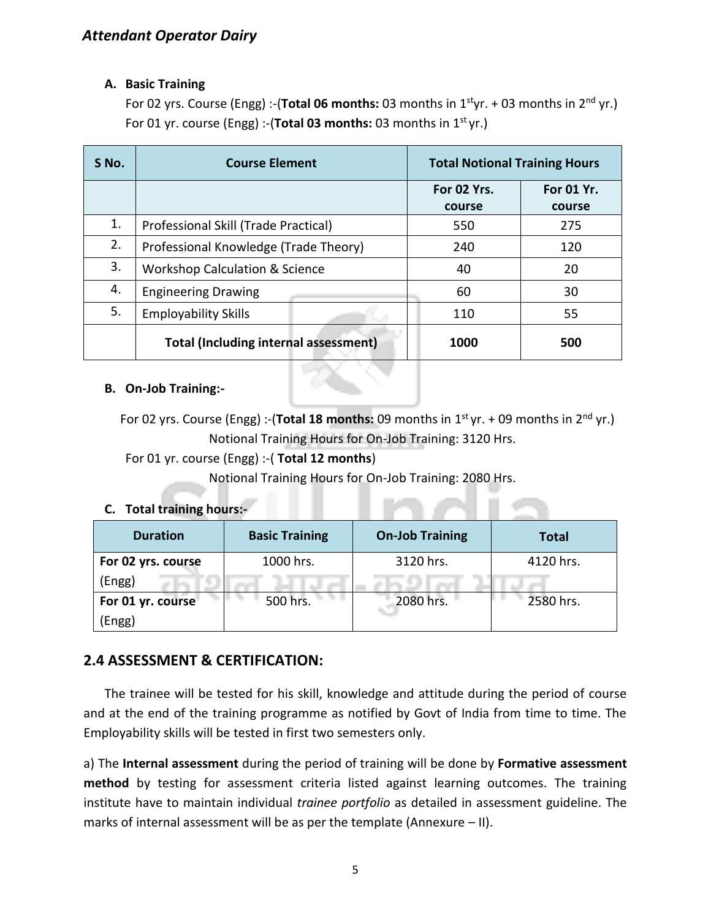#### **A. Basic Training**

For 02 yrs. Course (Engg) :-(**Total 06 months:** 03 months in 1styr. + 03 months in 2nd yr.) For 01 yr. course (Engg) :-(**Total 03 months:** 03 months in 1st yr.)

| S No. | <b>Course Element</b>                        |                       | <b>Total Notional Training Hours</b> |  |
|-------|----------------------------------------------|-----------------------|--------------------------------------|--|
|       |                                              | For 02 Yrs.<br>course | For 01 Yr.<br>course                 |  |
| 1.    | Professional Skill (Trade Practical)         | 550                   | 275                                  |  |
| 2.    | Professional Knowledge (Trade Theory)        | 240                   | 120                                  |  |
| 3.    | <b>Workshop Calculation &amp; Science</b>    | 40                    | 20                                   |  |
| 4.    | <b>Engineering Drawing</b>                   | 60                    | 30                                   |  |
| 5.    | <b>Employability Skills</b>                  | 110                   | 55                                   |  |
|       | <b>Total (Including internal assessment)</b> | 1000                  | 500                                  |  |

#### **B. On-Job Training:-**

For 02 yrs. Course (Engg) :-(**Total 18 months:** 09 months in 1<sup>st</sup> yr. + 09 months in 2<sup>nd</sup> yr.) Notional Training Hours for On-Job Training: 3120 Hrs.

#### For 01 yr. course (Engg) :-( **Total 12 months**)

Notional Training Hours for On-Job Training: 2080 Hrs.

#### **C. Total training hours:-**

| <b>Duration</b>    | <b>Basic Training</b> | <b>On-Job Training</b> | <b>Total</b> |
|--------------------|-----------------------|------------------------|--------------|
| For 02 yrs. course | 1000 hrs.             | 3120 hrs.              | 4120 hrs.    |
| (Engg)             |                       |                        |              |
| For 01 yr. course  | 500 hrs.              | 2080 hrs.              | 2580 hrs.    |
| Engg)              |                       |                        |              |

#### **2.4 ASSESSMENT & CERTIFICATION:**

The trainee will be tested for his skill, knowledge and attitude during the period of course and at the end of the training programme as notified by Govt of India from time to time. The Employability skills will be tested in first two semesters only.

a) The **Internal assessment** during the period of training will be done by **Formative assessment method** by testing for assessment criteria listed against learning outcomes. The training institute have to maintain individual *trainee portfolio* as detailed in assessment guideline. The marks of internal assessment will be as per the template (Annexure – II).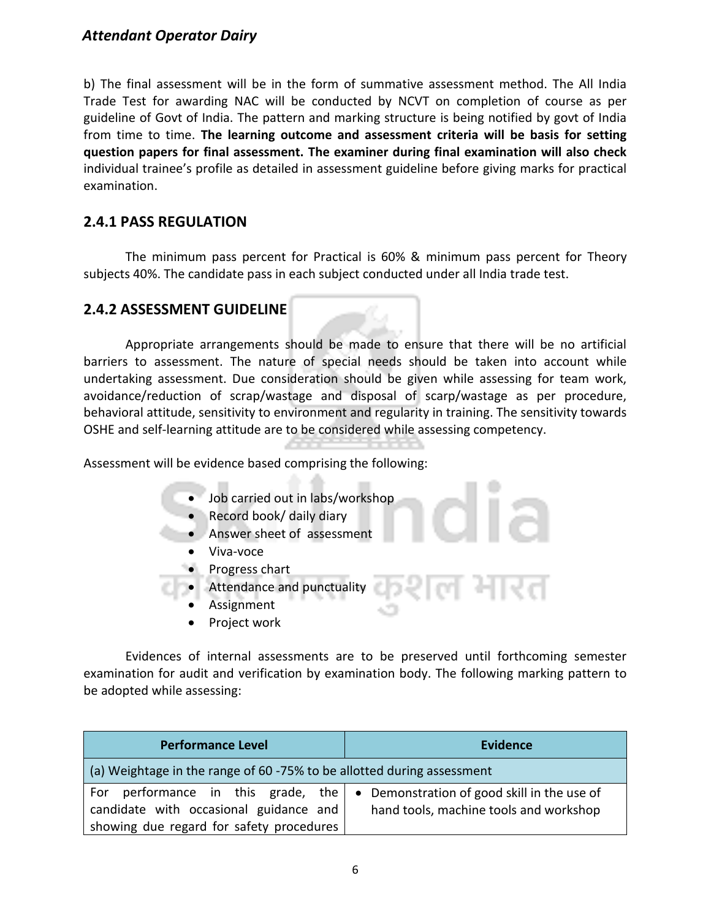b) The final assessment will be in the form of summative assessment method. The All India Trade Test for awarding NAC will be conducted by NCVT on completion of course as per guideline of Govt of India. The pattern and marking structure is being notified by govt of India from time to time. **The learning outcome and assessment criteria will be basis for setting question papers for final assessment. The examiner during final examination will also check**  individual trainee's profile as detailed in assessment guideline before giving marks for practical examination.

#### **2.4.1 PASS REGULATION**

The minimum pass percent for Practical is 60% & minimum pass percent for Theory subjects 40%. The candidate pass in each subject conducted under all India trade test.

#### **2.4.2 ASSESSMENT GUIDELINE**

Appropriate arrangements should be made to ensure that there will be no artificial barriers to assessment. The nature of special needs should be taken into account while undertaking assessment. Due consideration should be given while assessing for team work, avoidance/reduction of scrap/wastage and disposal of scarp/wastage as per procedure, behavioral attitude, sensitivity to environment and regularity in training. The sensitivity towards OSHE and self-learning attitude are to be considered while assessing competency.

Assessment will be evidence based comprising the following:

- Job carried out in labs/workshop
- Record book/ daily diary
- Answer sheet of assessment
- Viva-voce
- Progress chart
- Attendance and punctuality
	- **Assignment**
	- Project work

Evidences of internal assessments are to be preserved until forthcoming semester examination for audit and verification by examination body. The following marking pattern to be adopted while assessing:

| <b>Performance Level</b>                                                                                                 | <b>Evidence</b>                                                                       |  |
|--------------------------------------------------------------------------------------------------------------------------|---------------------------------------------------------------------------------------|--|
| (a) Weightage in the range of 60 -75% to be allotted during assessment                                                   |                                                                                       |  |
| For performance in this grade, the<br>candidate with occasional guidance and<br>showing due regard for safety procedures | • Demonstration of good skill in the use of<br>hand tools, machine tools and workshop |  |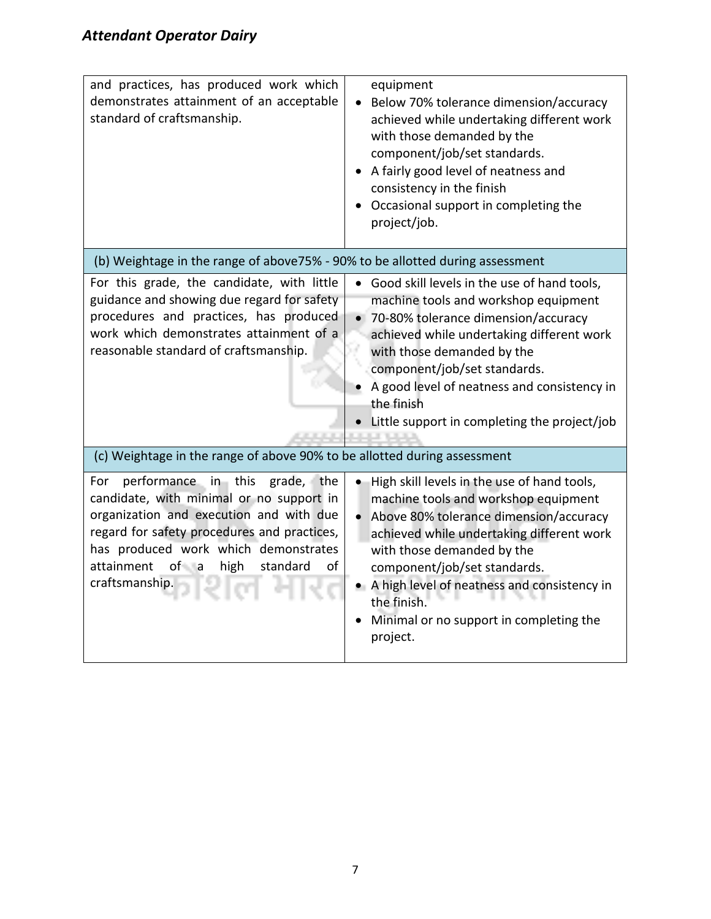| and practices, has produced work which<br>demonstrates attainment of an acceptable<br>standard of craftsmanship.                                                                                                                                                                             | equipment<br>Below 70% tolerance dimension/accuracy<br>achieved while undertaking different work<br>with those demanded by the<br>component/job/set standards.<br>• A fairly good level of neatness and<br>consistency in the finish<br>Occasional support in completing the<br>project/job.                                                                                 |
|----------------------------------------------------------------------------------------------------------------------------------------------------------------------------------------------------------------------------------------------------------------------------------------------|------------------------------------------------------------------------------------------------------------------------------------------------------------------------------------------------------------------------------------------------------------------------------------------------------------------------------------------------------------------------------|
| (b) Weightage in the range of above 75% - 90% to be allotted during assessment                                                                                                                                                                                                               |                                                                                                                                                                                                                                                                                                                                                                              |
| For this grade, the candidate, with little<br>guidance and showing due regard for safety<br>procedures and practices, has produced<br>work which demonstrates attainment of a<br>reasonable standard of craftsmanship.                                                                       | Good skill levels in the use of hand tools,<br>machine tools and workshop equipment<br>70-80% tolerance dimension/accuracy<br>achieved while undertaking different work<br>with those demanded by the<br>component/job/set standards.<br>A good level of neatness and consistency in<br>the finish<br>Little support in completing the project/job                           |
| (c) Weightage in the range of above 90% to be allotted during assessment                                                                                                                                                                                                                     |                                                                                                                                                                                                                                                                                                                                                                              |
| performance in this<br>grade, the<br>For<br>candidate, with minimal or no support in<br>organization and execution and with due<br>regard for safety procedures and practices,<br>has produced work which demonstrates<br>attainment<br>$of - a$<br>high<br>standard<br>of<br>craftsmanship. | High skill levels in the use of hand tools,<br>machine tools and workshop equipment<br>Above 80% tolerance dimension/accuracy<br>$\bullet$<br>achieved while undertaking different work<br>with those demanded by the<br>component/job/set standards.<br>• A high level of neatness and consistency in<br>the finish.<br>Minimal or no support in completing the<br>project. |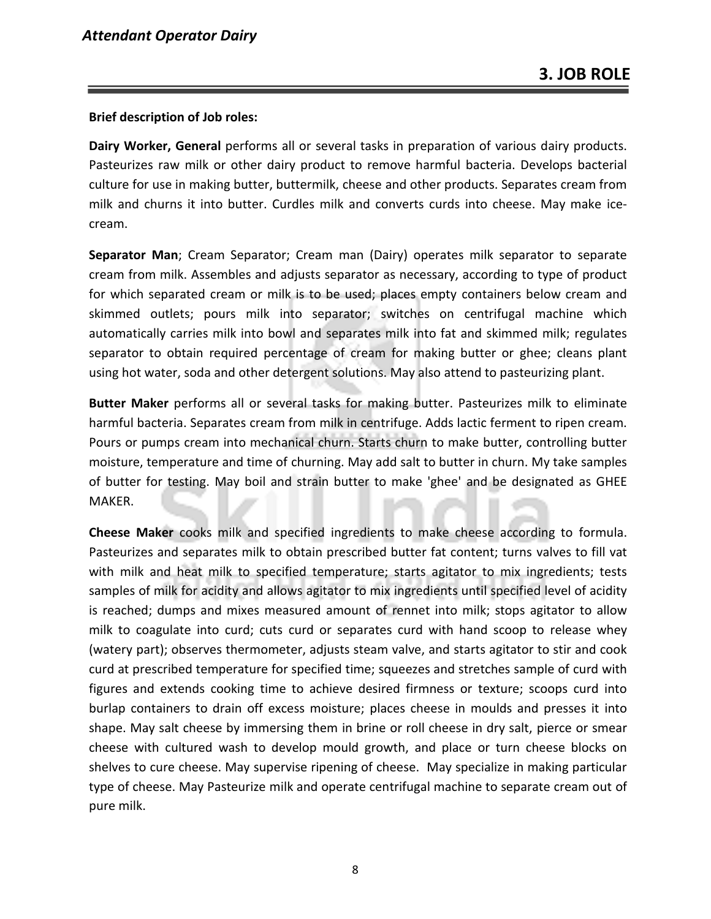#### **Brief description of Job roles:**

**Dairy Worker, General** performs all or several tasks in preparation of various dairy products. Pasteurizes raw milk or other dairy product to remove harmful bacteria. Develops bacterial culture for use in making butter, buttermilk, cheese and other products. Separates cream from milk and churns it into butter. Curdles milk and converts curds into cheese. May make icecream.

**Separator Man**; Cream Separator; Cream man (Dairy) operates milk separator to separate cream from milk. Assembles and adjusts separator as necessary, according to type of product for which separated cream or milk is to be used; places empty containers below cream and skimmed outlets; pours milk into separator; switches on centrifugal machine which automatically carries milk into bowl and separates milk into fat and skimmed milk; regulates separator to obtain required percentage of cream for making butter or ghee; cleans plant using hot water, soda and other detergent solutions. May also attend to pasteurizing plant.

**Butter Maker** performs all or several tasks for making butter. Pasteurizes milk to eliminate harmful bacteria. Separates cream from milk in centrifuge. Adds lactic ferment to ripen cream. Pours or pumps cream into mechanical churn. Starts churn to make butter, controlling butter moisture, temperature and time of churning. May add salt to butter in churn. My take samples of butter for testing. May boil and strain butter to make 'ghee' and be designated as GHEE MAKER.

**Cheese Maker** cooks milk and specified ingredients to make cheese according to formula. Pasteurizes and separates milk to obtain prescribed butter fat content; turns valves to fill vat with milk and heat milk to specified temperature; starts agitator to mix ingredients; tests samples of milk for acidity and allows agitator to mix ingredients until specified level of acidity is reached; dumps and mixes measured amount of rennet into milk; stops agitator to allow milk to coagulate into curd; cuts curd or separates curd with hand scoop to release whey (watery part); observes thermometer, adjusts steam valve, and starts agitator to stir and cook curd at prescribed temperature for specified time; squeezes and stretches sample of curd with figures and extends cooking time to achieve desired firmness or texture; scoops curd into burlap containers to drain off excess moisture; places cheese in moulds and presses it into shape. May salt cheese by immersing them in brine or roll cheese in dry salt, pierce or smear cheese with cultured wash to develop mould growth, and place or turn cheese blocks on shelves to cure cheese. May supervise ripening of cheese. May specialize in making particular type of cheese. May Pasteurize milk and operate centrifugal machine to separate cream out of pure milk.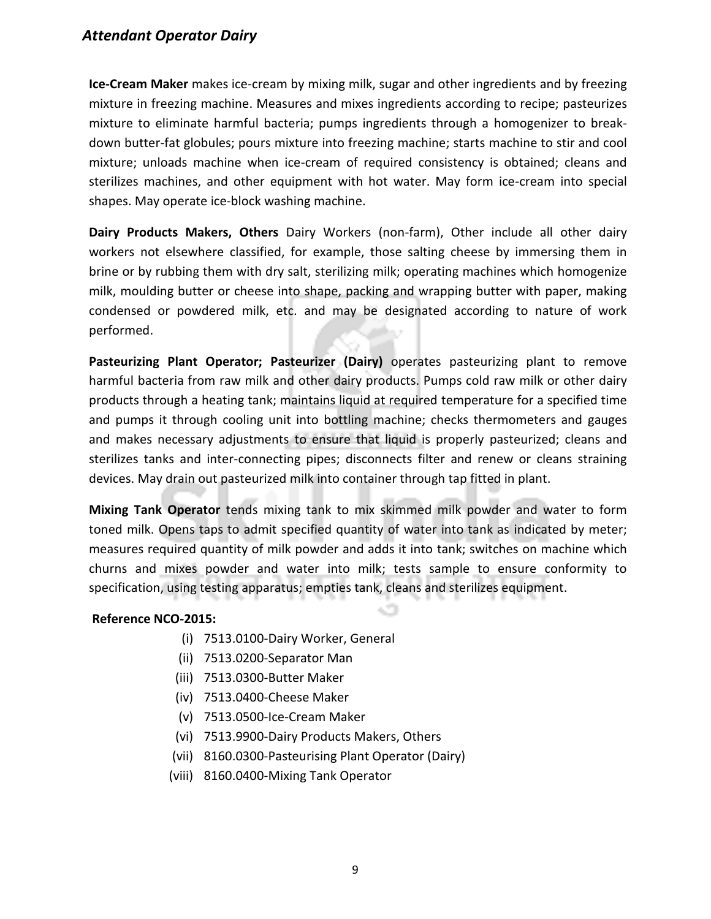**Ice-Cream Maker** makes ice-cream by mixing milk, sugar and other ingredients and by freezing mixture in freezing machine. Measures and mixes ingredients according to recipe; pasteurizes mixture to eliminate harmful bacteria; pumps ingredients through a homogenizer to breakdown butter-fat globules; pours mixture into freezing machine; starts machine to stir and cool mixture; unloads machine when ice-cream of required consistency is obtained; cleans and sterilizes machines, and other equipment with hot water. May form ice-cream into special shapes. May operate ice-block washing machine.

**Dairy Products Makers, Others** Dairy Workers (non-farm), Other include all other dairy workers not elsewhere classified, for example, those salting cheese by immersing them in brine or by rubbing them with dry salt, sterilizing milk; operating machines which homogenize milk, moulding butter or cheese into shape, packing and wrapping butter with paper, making condensed or powdered milk, etc. and may be designated according to nature of work performed.

**Pasteurizing Plant Operator; Pasteurizer (Dairy)** operates pasteurizing plant to remove harmful bacteria from raw milk and other dairy products. Pumps cold raw milk or other dairy products through a heating tank; maintains liquid at required temperature for a specified time and pumps it through cooling unit into bottling machine; checks thermometers and gauges and makes necessary adjustments to ensure that liquid is properly pasteurized; cleans and sterilizes tanks and inter-connecting pipes; disconnects filter and renew or cleans straining devices. May drain out pasteurized milk into container through tap fitted in plant.

**Mixing Tank Operator** tends mixing tank to mix skimmed milk powder and water to form toned milk. Opens taps to admit specified quantity of water into tank as indicated by meter; measures required quantity of milk powder and adds it into tank; switches on machine which churns and mixes powder and water into milk; tests sample to ensure conformity to specification, using testing apparatus; empties tank, cleans and sterilizes equipment.

#### **Reference NCO-2015:**

- (i) 7513.0100-Dairy Worker, General
- (ii) 7513.0200-Separator Man
- (iii) 7513.0300-Butter Maker
- (iv) 7513.0400-Cheese Maker
- (v) 7513.0500-Ice-Cream Maker
- (vi) 7513.9900-Dairy Products Makers, Others
- (vii) 8160.0300-Pasteurising Plant Operator (Dairy)
- (viii) 8160.0400-Mixing Tank Operator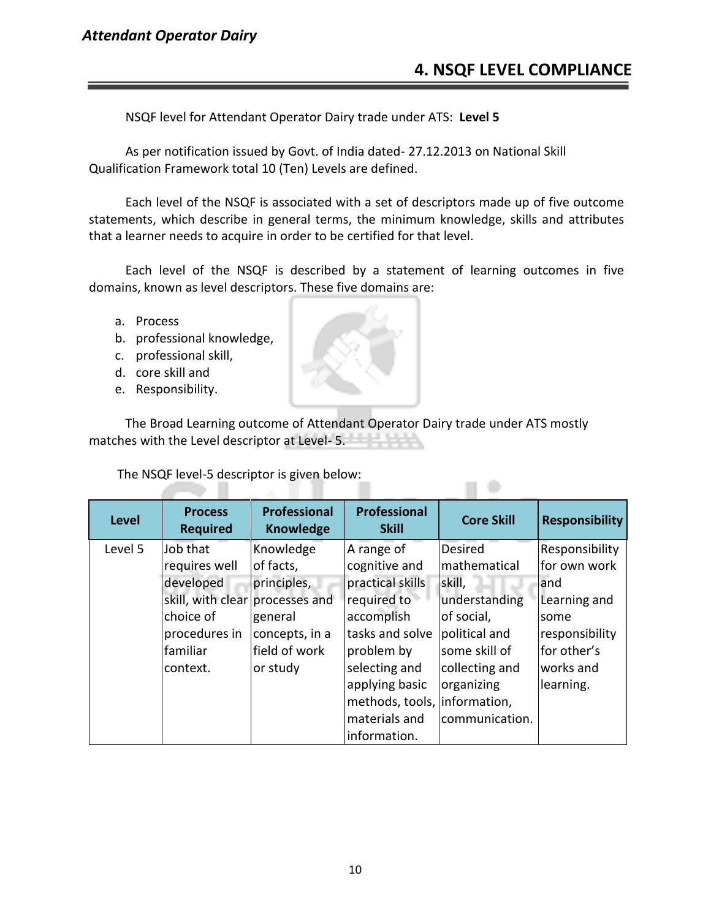#### **4. NSQF LEVEL COMPLIANCE**

 $\Box$ 

NSQF level for Attendant Operator Dairy trade under ATS: **Level 5**

As per notification issued by Govt. of India dated- 27.12.2013 on National Skill Qualification Framework total 10 (Ten) Levels are defined.

Each level of the NSQF is associated with a set of descriptors made up of five outcome statements, which describe in general terms, the minimum knowledge, skills and attributes that a learner needs to acquire in order to be certified for that level.

Each level of the NSQF is described by a statement of learning outcomes in five domains, known as level descriptors. These five domains are:

- a. Process
- b. professional knowledge,
- c. professional skill,
- d. core skill and
- e. Responsibility.

The Broad Learning outcome of Attendant Operator Dairy trade under ATS mostly matches with the Level descriptor at Level- 5.

The NSQF level-5 descriptor is given below:

75 H

| <b>Level</b> | <b>Process</b><br><b>Required</b> | <b>Professional</b><br><b>Knowledge</b> | <b>Professional</b><br><b>Skill</b> | <b>Core Skill</b> | <b>Responsibility</b> |
|--------------|-----------------------------------|-----------------------------------------|-------------------------------------|-------------------|-----------------------|
| Level 5      | Job that                          | Knowledge                               | A range of                          | <b>Desired</b>    | Responsibility        |
|              | requires well                     | of facts,                               | cognitive and                       | mathematical      | for own work          |
|              | developed                         | principles,                             | practical skills                    | skill,            | land                  |
|              | skill, with clear processes and   |                                         | required to                         | understanding     | Learning and          |
|              | choice of                         | general                                 | accomplish                          | of social,        | some                  |
|              | procedures in                     | concepts, in a                          | tasks and solve                     | political and     | responsibility        |
|              | familiar                          | field of work                           | problem by                          | some skill of     | for other's           |
|              | context.                          | or study                                | selecting and                       | collecting and    | works and             |
|              |                                   |                                         | applying basic                      | organizing        | learning.             |
|              |                                   |                                         | methods, tools, information,        |                   |                       |
|              |                                   |                                         | materials and                       | communication.    |                       |
|              |                                   |                                         | information.                        |                   |                       |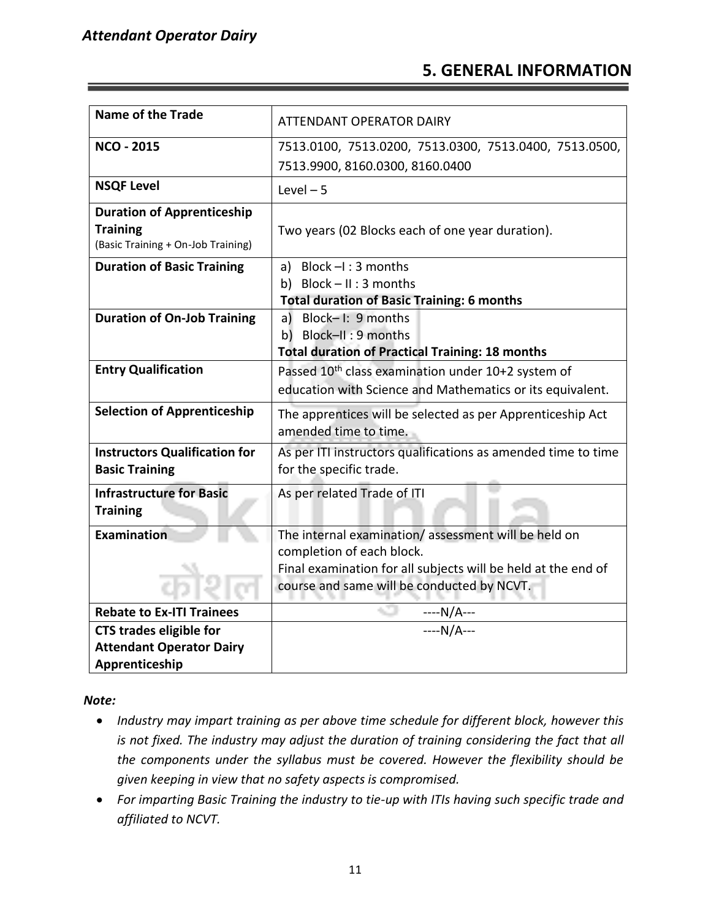#### **5. GENERAL INFORMATION**

| <b>Name of the Trade</b>                                                                   | <b>ATTENDANT OPERATOR DAIRY</b>                                                                                                                                                                 |
|--------------------------------------------------------------------------------------------|-------------------------------------------------------------------------------------------------------------------------------------------------------------------------------------------------|
| <b>NCO - 2015</b>                                                                          | 7513.0100, 7513.0200, 7513.0300, 7513.0400, 7513.0500,<br>7513.9900, 8160.0300, 8160.0400                                                                                                       |
| <b>NSQF Level</b>                                                                          | Level $-5$                                                                                                                                                                                      |
| <b>Duration of Apprenticeship</b><br><b>Training</b><br>(Basic Training + On-Job Training) | Two years (02 Blocks each of one year duration).                                                                                                                                                |
| <b>Duration of Basic Training</b>                                                          | a) Block $-I$ : 3 months<br>b) Block-II: 3 months<br><b>Total duration of Basic Training: 6 months</b>                                                                                          |
| <b>Duration of On-Job Training</b>                                                         | Block-I: 9 months<br>a)<br>b) Block-II: 9 months<br><b>Total duration of Practical Training: 18 months</b>                                                                                      |
| <b>Entry Qualification</b>                                                                 | Passed 10 <sup>th</sup> class examination under 10+2 system of<br>education with Science and Mathematics or its equivalent.                                                                     |
| <b>Selection of Apprenticeship</b>                                                         | The apprentices will be selected as per Apprenticeship Act<br>amended time to time.                                                                                                             |
| <b>Instructors Qualification for</b><br><b>Basic Training</b>                              | As per ITI instructors qualifications as amended time to time<br>for the specific trade.                                                                                                        |
| <b>Infrastructure for Basic</b><br><b>Training</b>                                         | As per related Trade of ITI                                                                                                                                                                     |
| Examination                                                                                | The internal examination/assessment will be held on<br>completion of each block.<br>Final examination for all subjects will be held at the end of<br>course and same will be conducted by NCVT. |
| <b>Rebate to Ex-ITI Trainees</b>                                                           |                                                                                                                                                                                                 |
| <b>CTS trades eligible for</b><br><b>Attendant Operator Dairy</b><br>Apprenticeship        | $\frac{--N/A}{-N/A}$                                                                                                                                                                            |

*Note:*

- *Industry may impart training as per above time schedule for different block, however this is not fixed. The industry may adjust the duration of training considering the fact that all the components under the syllabus must be covered. However the flexibility should be given keeping in view that no safety aspects is compromised.*
- *For imparting Basic Training the industry to tie-up with ITIs having such specific trade and affiliated to NCVT.*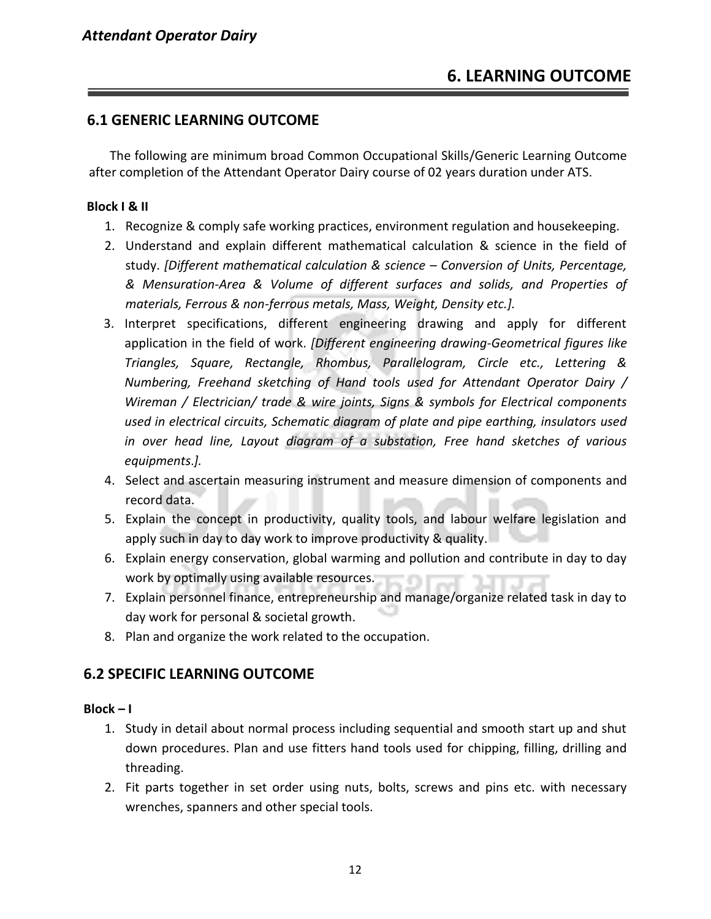#### **6.1 GENERIC LEARNING OUTCOME**

The following are minimum broad Common Occupational Skills/Generic Learning Outcome after completion of the Attendant Operator Dairy course of 02 years duration under ATS.

#### **Block I & II**

- 1. Recognize & comply safe working practices, environment regulation and housekeeping.
- 2. Understand and explain different mathematical calculation & science in the field of study. *[Different mathematical calculation & science – Conversion of Units, Percentage, & Mensuration-Area & Volume of different surfaces and solids, and Properties of materials, Ferrous & non-ferrous metals, Mass, Weight, Density etc.].*
- 3. Interpret specifications, different engineering drawing and apply for different application in the field of work. *[Different engineering drawing-Geometrical figures like Triangles, Square, Rectangle, Rhombus, Parallelogram, Circle etc., Lettering & Numbering, Freehand sketching of Hand tools used for Attendant Operator Dairy / Wireman / Electrician/ trade & wire joints, Signs & symbols for Electrical components used in electrical circuits, Schematic diagram of plate and pipe earthing, insulators used in over head line, Layout diagram of a substation, Free hand sketches of various equipments*.*].*
- 4. Select and ascertain measuring instrument and measure dimension of components and record data.
- 5. Explain the concept in productivity, quality tools, and labour welfare legislation and apply such in day to day work to improve productivity & quality.
- 6. Explain energy conservation, global warming and pollution and contribute in day to day work by optimally using available resources.
- 7. Explain personnel finance, entrepreneurship and manage/organize related task in day to day work for personal & societal growth.
- 8. Plan and organize the work related to the occupation.

#### **6.2 SPECIFIC LEARNING OUTCOME**

#### **Block – I**

- 1. Study in detail about normal process including sequential and smooth start up and shut down procedures. Plan and use fitters hand tools used for chipping, filling, drilling and threading.
- 2. Fit parts together in set order using nuts, bolts, screws and pins etc. with necessary wrenches, spanners and other special tools.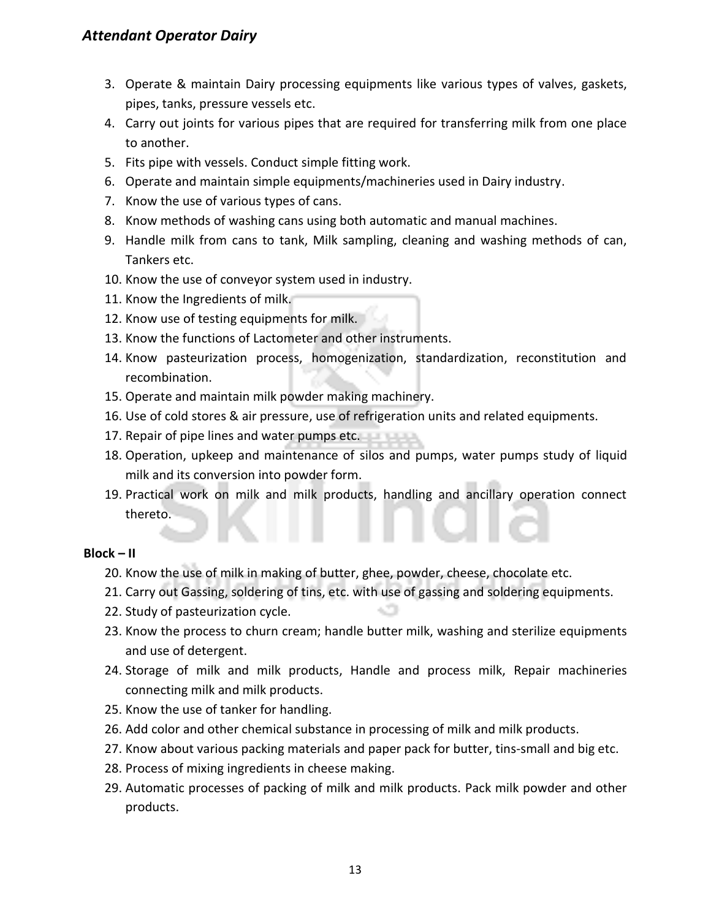- 3. Operate & maintain Dairy processing equipments like various types of valves, gaskets, pipes, tanks, pressure vessels etc.
- 4. Carry out joints for various pipes that are required for transferring milk from one place to another.
- 5. Fits pipe with vessels. Conduct simple fitting work.
- 6. Operate and maintain simple equipments/machineries used in Dairy industry.
- 7. Know the use of various types of cans.
- 8. Know methods of washing cans using both automatic and manual machines.
- 9. Handle milk from cans to tank, Milk sampling, cleaning and washing methods of can, Tankers etc.
- 10. Know the use of conveyor system used in industry.
- 11. Know the Ingredients of milk.
- 12. Know use of testing equipments for milk.
- 13. Know the functions of Lactometer and other instruments.
- 14. Know pasteurization process, homogenization, standardization, reconstitution and recombination.
- 15. Operate and maintain milk powder making machinery.
- 16. Use of cold stores & air pressure, use of refrigeration units and related equipments.
- 17. Repair of pipe lines and water pumps etc.
- 18. Operation, upkeep and maintenance of silos and pumps, water pumps study of liquid milk and its conversion into powder form.
- 19. Practical work on milk and milk products, handling and ancillary operation connect thereto.

#### **Block – II**

- 20. Know the use of milk in making of butter, ghee, powder, cheese, chocolate etc.
- 21. Carry out Gassing, soldering of tins, etc. with use of gassing and soldering equipments.
- 22. Study of pasteurization cycle.
- 23. Know the process to churn cream; handle butter milk, washing and sterilize equipments and use of detergent.
- 24. Storage of milk and milk products, Handle and process milk, Repair machineries connecting milk and milk products.
- 25. Know the use of tanker for handling.
- 26. Add color and other chemical substance in processing of milk and milk products.
- 27. Know about various packing materials and paper pack for butter, tins-small and big etc.
- 28. Process of mixing ingredients in cheese making.
- 29. Automatic processes of packing of milk and milk products. Pack milk powder and other products.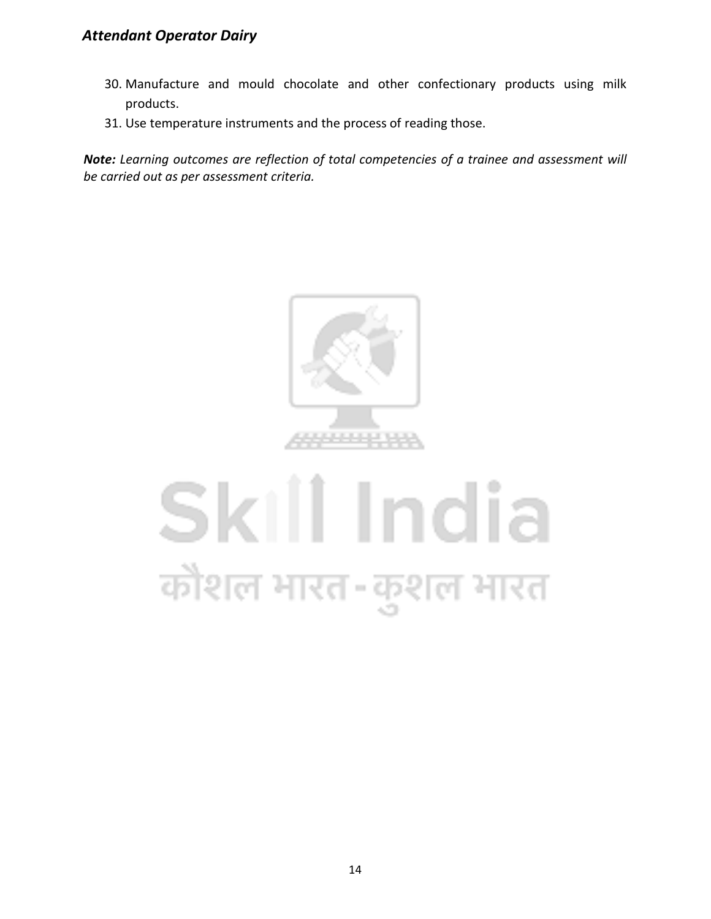- 30. Manufacture and mould chocolate and other confectionary products using milk products.
- 31. Use temperature instruments and the process of reading those.

*Note: Learning outcomes are reflection of total competencies of a trainee and assessment will be carried out as per assessment criteria.*



### Skill India कौशल भारत-कुशल भारत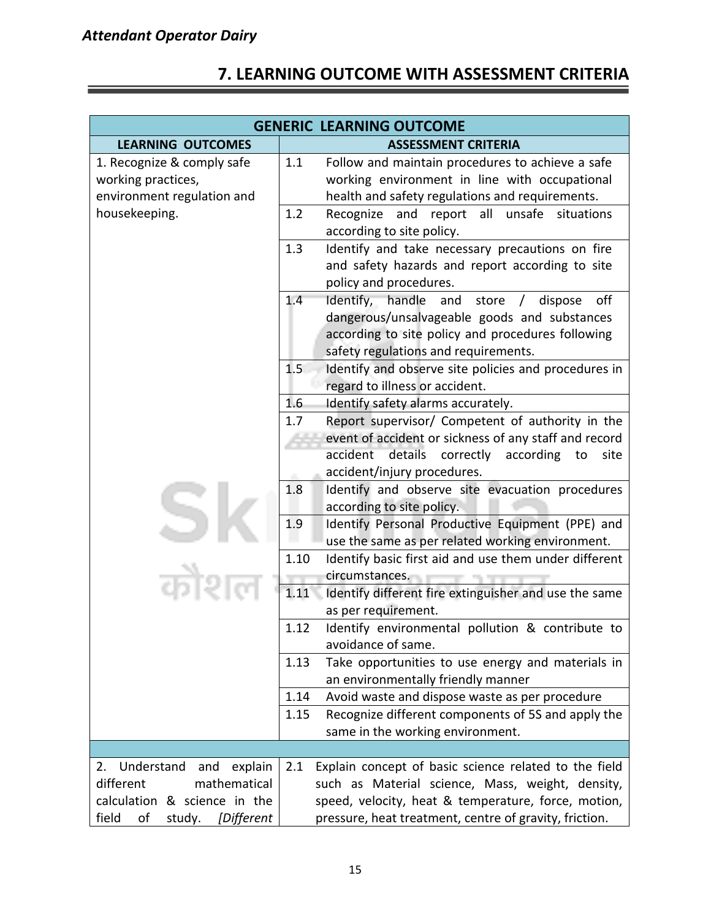#### **7. LEARNING OUTCOME WITH ASSESSMENT CRITERIA**

|                                                                                                 | <b>GENERIC LEARNING OUTCOME</b>                                                                                                                                                                                           |
|-------------------------------------------------------------------------------------------------|---------------------------------------------------------------------------------------------------------------------------------------------------------------------------------------------------------------------------|
| <b>LEARNING OUTCOMES</b>                                                                        | <b>ASSESSMENT CRITERIA</b>                                                                                                                                                                                                |
| 1. Recognize & comply safe<br>working practices,<br>environment regulation and<br>housekeeping. | 1.1<br>Follow and maintain procedures to achieve a safe<br>working environment in line with occupational<br>health and safety regulations and requirements.<br>Recognize and<br>report all<br>unsafe<br>1.2<br>situations |
|                                                                                                 | according to site policy.                                                                                                                                                                                                 |
|                                                                                                 | Identify and take necessary precautions on fire<br>1.3<br>and safety hazards and report according to site<br>policy and procedures.                                                                                       |
|                                                                                                 | Identify, handle and store / dispose<br>1.4<br>off<br>dangerous/unsalvageable goods and substances<br>according to site policy and procedures following<br>safety regulations and requirements.                           |
|                                                                                                 | Identify and observe site policies and procedures in<br>1.5<br>regard to illness or accident.                                                                                                                             |
|                                                                                                 | 1.6<br>Identify safety alarms accurately.                                                                                                                                                                                 |
|                                                                                                 | Report supervisor/ Competent of authority in the<br>1.7                                                                                                                                                                   |
|                                                                                                 | event of accident or sickness of any staff and record<br>accident<br>details correctly<br>according<br>to<br>site<br>accident/injury procedures.                                                                          |
|                                                                                                 | Identify and observe site evacuation procedures<br>1.8<br>according to site policy.                                                                                                                                       |
|                                                                                                 | 1.9<br>Identify Personal Productive Equipment (PPE) and<br>use the same as per related working environment.                                                                                                               |
|                                                                                                 | Identify basic first aid and use them under different<br>1.10                                                                                                                                                             |
|                                                                                                 | circumstances.<br>1.11<br>Identify different fire extinguisher and use the same<br>as per requirement.                                                                                                                    |
|                                                                                                 | 1.12<br>Identify environmental pollution & contribute to<br>avoidance of same.                                                                                                                                            |
|                                                                                                 | 1.13<br>Take opportunities to use energy and materials in<br>an environmentally friendly manner                                                                                                                           |
|                                                                                                 | 1.14<br>Avoid waste and dispose waste as per procedure                                                                                                                                                                    |
|                                                                                                 | Recognize different components of 5S and apply the<br>1.15<br>same in the working environment.                                                                                                                            |
|                                                                                                 |                                                                                                                                                                                                                           |
| Understand<br>and<br>explain<br>2.                                                              | Explain concept of basic science related to the field<br>2.1                                                                                                                                                              |
| mathematical<br>different                                                                       | such as Material science, Mass, weight, density,                                                                                                                                                                          |
| calculation & science in the<br>field<br>[Different<br>οf<br>study.                             | speed, velocity, heat & temperature, force, motion,<br>pressure, heat treatment, centre of gravity, friction.                                                                                                             |
|                                                                                                 |                                                                                                                                                                                                                           |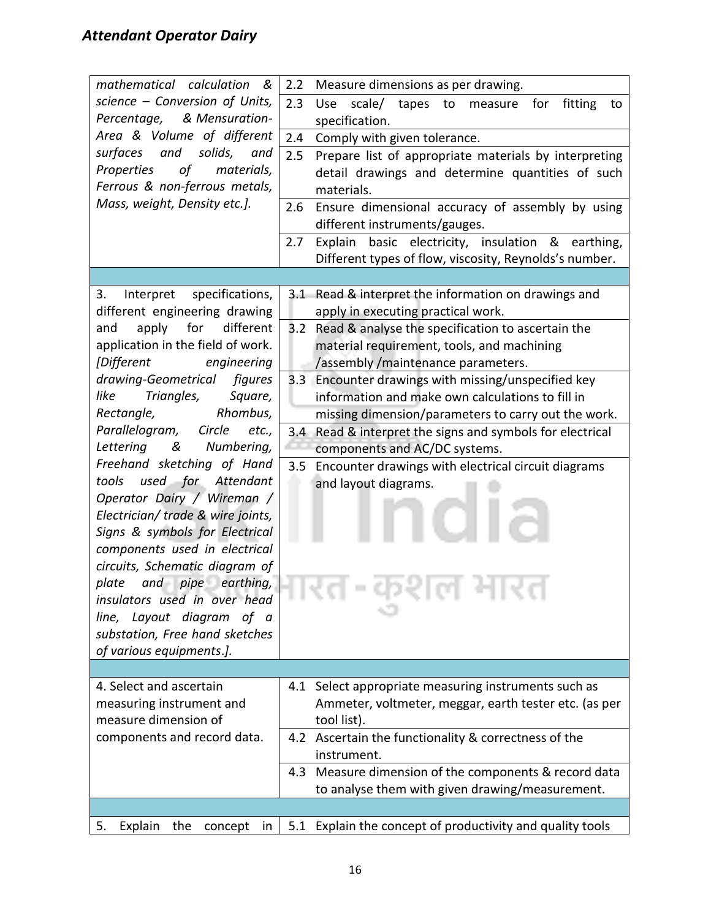| mathematical calculation &                                          | 2.2<br>Measure dimensions as per drawing.                              |
|---------------------------------------------------------------------|------------------------------------------------------------------------|
| science - Conversion of Units,                                      | 2.3<br>scale/<br>Use<br>tapes<br>to<br>fitting<br>measure<br>for<br>to |
| & Mensuration-<br>Percentage,                                       | specification.                                                         |
| Area & Volume of different                                          | 2.4<br>Comply with given tolerance.                                    |
| surfaces<br>and<br>solids,<br>and                                   | 2.5<br>Prepare list of appropriate materials by interpreting           |
| of<br>Properties<br>materials,                                      | detail drawings and determine quantities of such                       |
| Ferrous & non-ferrous metals,                                       | materials.                                                             |
| Mass, weight, Density etc.].                                        | Ensure dimensional accuracy of assembly by using<br>2.6                |
|                                                                     | different instruments/gauges.                                          |
|                                                                     | 2.7<br>basic electricity, insulation & earthing,<br>Explain            |
|                                                                     | Different types of flow, viscosity, Reynolds's number.                 |
|                                                                     |                                                                        |
| Interpret specifications,<br>3.                                     | 3.1 Read & interpret the information on drawings and                   |
| different engineering drawing                                       | apply in executing practical work.                                     |
| apply<br>for<br>different<br>and                                    | 3.2 Read & analyse the specification to ascertain the                  |
| application in the field of work.                                   | material requirement, tools, and machining                             |
| [Different<br>engineering                                           | /assembly /maintenance parameters.                                     |
| drawing-Geometrical<br>figures                                      | Encounter drawings with missing/unspecified key<br>3.3                 |
| Triangles,<br>like<br>Square,                                       | information and make own calculations to fill in                       |
| Rhombus,<br>Rectangle,                                              | missing dimension/parameters to carry out the work.                    |
| Parallelogram,<br>Circle<br>etc.,                                   | 3.4 Read & interpret the signs and symbols for electrical              |
| Lettering<br>&<br>Numbering,                                        | components and AC/DC systems.                                          |
| Freehand sketching of Hand                                          | Encounter drawings with electrical circuit diagrams<br>3.5             |
| tools used for Attendant                                            | and layout diagrams.                                                   |
| Operator Dairy / Wireman /                                          |                                                                        |
| Electrician/ trade & wire joints,<br>Signs & symbols for Electrical |                                                                        |
| components used in electrical                                       |                                                                        |
| circuits, Schematic diagram of                                      |                                                                        |
| $and$ pipe earthing,<br>plate                                       |                                                                        |
| insulators used in over head                                        |                                                                        |
| line, Layout diagram<br>of a                                        |                                                                        |
| substation, Free hand sketches                                      |                                                                        |
| of various equipments.].                                            |                                                                        |
|                                                                     |                                                                        |
| 4. Select and ascertain                                             | 4.1 Select appropriate measuring instruments such as                   |
| measuring instrument and                                            | Ammeter, voltmeter, meggar, earth tester etc. (as per                  |
| measure dimension of                                                | tool list).                                                            |
| components and record data.                                         | 4.2 Ascertain the functionality & correctness of the                   |
|                                                                     | instrument.                                                            |
|                                                                     | 4.3 Measure dimension of the components & record data                  |
|                                                                     | to analyse them with given drawing/measurement.                        |
|                                                                     |                                                                        |
| Explain<br>the<br>5.<br>concept in                                  | 5.1 Explain the concept of productivity and quality tools              |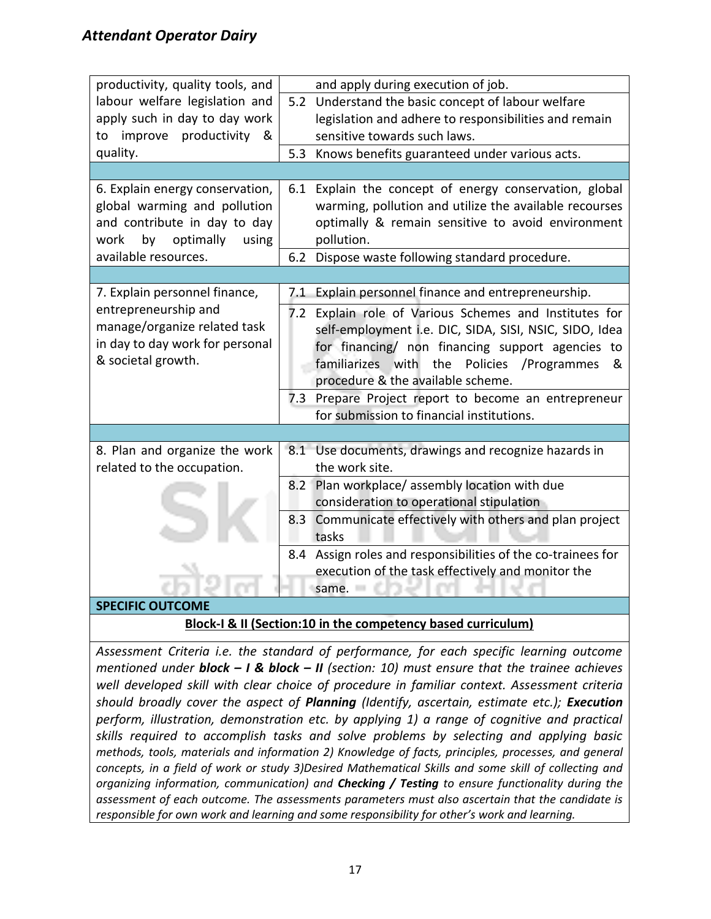| productivity, quality tools, and | and apply during execution of job.                           |
|----------------------------------|--------------------------------------------------------------|
| labour welfare legislation and   | 5.2 Understand the basic concept of labour welfare           |
| apply such in day to day work    | legislation and adhere to responsibilities and remain        |
| productivity &<br>improve<br>to  | sensitive towards such laws.                                 |
| quality.                         | Knows benefits guaranteed under various acts.<br>5.3         |
|                                  |                                                              |
| 6. Explain energy conservation,  | 6.1 Explain the concept of energy conservation, global       |
| global warming and pollution     | warming, pollution and utilize the available recourses       |
| and contribute in day to day     | optimally & remain sensitive to avoid environment            |
| optimally<br>by<br>using<br>work | pollution.                                                   |
| available resources.             | Dispose waste following standard procedure.<br>6.2           |
|                                  |                                                              |
| 7. Explain personnel finance,    | Explain personnel finance and entrepreneurship.<br>7.1       |
| entrepreneurship and             | 7.2 Explain role of Various Schemes and Institutes for       |
| manage/organize related task     | self-employment i.e. DIC, SIDA, SISI, NSIC, SIDO, Idea       |
| in day to day work for personal  | for financing/ non financing support agencies to             |
| & societal growth.               | familiarizes with<br>the<br>Policies<br>/Programmes<br>&     |
|                                  | procedure & the available scheme.                            |
|                                  | 7.3 Prepare Project report to become an entrepreneur         |
|                                  | for submission to financial institutions.                    |
|                                  |                                                              |
| 8. Plan and organize the work    | 8.1 Use documents, drawings and recognize hazards in         |
| related to the occupation.       | the work site.                                               |
|                                  | 8.2 Plan workplace/assembly location with due                |
|                                  | consideration to operational stipulation                     |
|                                  | 8.3 Communicate effectively with others and plan project     |
|                                  | tasks                                                        |
|                                  | 8.4 Assign roles and responsibilities of the co-trainees for |
|                                  | execution of the task effectively and monitor the            |
|                                  | same.                                                        |
| <b>SPECIFIC OUTCOME</b>          |                                                              |

#### **Block-I & II (Section:10 in the competency based curriculum)**

*Assessment Criteria i.e. the standard of performance, for each specific learning outcome mentioned under block – I & block – II (section: 10) must ensure that the trainee achieves well developed skill with clear choice of procedure in familiar context. Assessment criteria should broadly cover the aspect of Planning (Identify, ascertain, estimate etc.); Execution perform, illustration, demonstration etc. by applying 1) a range of cognitive and practical skills required to accomplish tasks and solve problems by selecting and applying basic methods, tools, materials and information 2) Knowledge of facts, principles, processes, and general concepts, in a field of work or study 3)Desired Mathematical Skills and some skill of collecting and organizing information, communication) and Checking / Testing to ensure functionality during the assessment of each outcome. The assessments parameters must also ascertain that the candidate is responsible for own work and learning and some responsibility for other's work and learning.*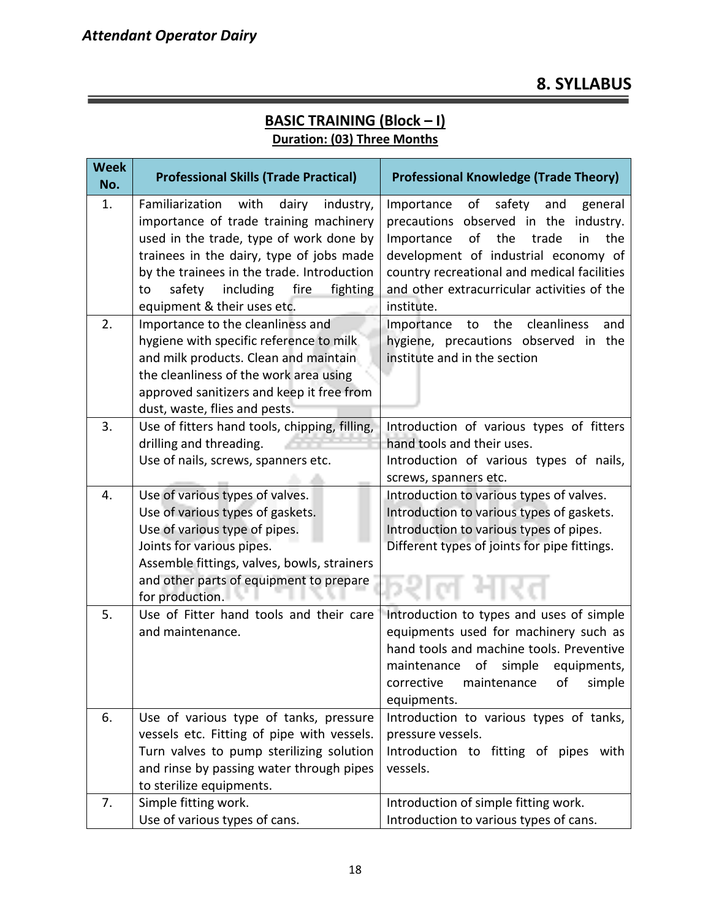#### **Week No. Professional Skills (Trade Practical)** Professional Knowledge (Trade Theory) **No.** 1. Familiarization with dairy industry, importance of trade training machinery used in the trade, type of work done by trainees in the dairy, type of jobs made by the trainees in the trade. Introduction to safety including fire fighting equipment & their uses etc. Importance of safety and general precautions observed in the industry. Importance of the trade in the development of industrial economy of country recreational and medical facilities and other extracurricular activities of the institute. 2. Importance to the cleanliness and hygiene with specific reference to milk and milk products. Clean and maintain the cleanliness of the work area using approved sanitizers and keep it free from dust, waste, flies and pests. Importance to the cleanliness and hygiene, precautions observed in the institute and in the section 3. Use of fitters hand tools, chipping, filling, drilling and threading. Use of nails, screws, spanners etc. Introduction of various types of fitters hand tools and their uses. Introduction of various types of nails, screws, spanners etc. 4. Use of various types of valves. Use of various types of gaskets. Use of various type of pipes. Joints for various pipes. Assemble fittings, valves, bowls, strainers and other parts of equipment to prepare for production. Introduction to various types of valves. Introduction to various types of gaskets. Introduction to various types of pipes. Different types of joints for pipe fittings. 5. Use of Fitter hand tools and their care and maintenance. Introduction to types and uses of simple equipments used for machinery such as hand tools and machine tools. Preventive maintenance of simple equipments, corrective maintenance of simple equipments. 6. Use of various type of tanks, pressure vessels etc. Fitting of pipe with vessels. Turn valves to pump sterilizing solution and rinse by passing water through pipes to sterilize equipments. Introduction to various types of tanks, pressure vessels. Introduction to fitting of pipes with vessels. 7. Simple fitting work. Use of various types of cans. Introduction of simple fitting work. Introduction to various types of cans.

#### **BASIC TRAINING (Block – I) Duration: (03) Three Months**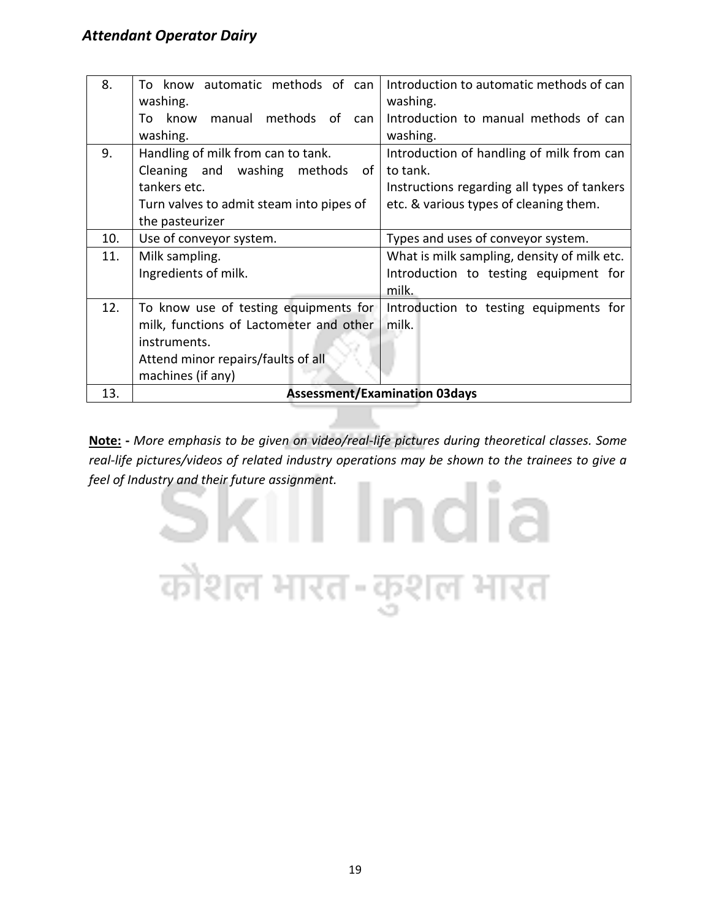| 8.  | know automatic methods of can<br>T∩       | Introduction to automatic methods of can    |
|-----|-------------------------------------------|---------------------------------------------|
|     | washing.                                  | washing.                                    |
|     | methods of<br>manual<br>To<br>know<br>can | Introduction to manual methods of can       |
|     | washing.                                  | washing.                                    |
| 9.  | Handling of milk from can to tank.        | Introduction of handling of milk from can   |
|     | Cleaning and washing<br>methods<br>of     | to tank.                                    |
|     | tankers etc.                              | Instructions regarding all types of tankers |
|     | Turn valves to admit steam into pipes of  | etc. & various types of cleaning them.      |
|     | the pasteurizer                           |                                             |
| 10. | Use of conveyor system.                   | Types and uses of conveyor system.          |
| 11. | Milk sampling.                            | What is milk sampling, density of milk etc. |
|     | Ingredients of milk.                      | Introduction to testing equipment for       |
|     |                                           | milk.                                       |
| 12. | To know use of testing equipments for     | Introduction to testing equipments for      |
|     | milk, functions of Lactometer and other   | milk.                                       |
|     | instruments.                              |                                             |
|     | Attend minor repairs/faults of all        |                                             |
|     | machines (if any)                         |                                             |
| 13. |                                           | <b>Assessment/Examination 03days</b>        |

**Note: -** *More emphasis to be given on video/real-life pictures during theoretical classes. Some real-life pictures/videos of related industry operations may be shown to the trainees to give a feel of Industry and their future assignment.*

कौशल भारत-कुशल भारत

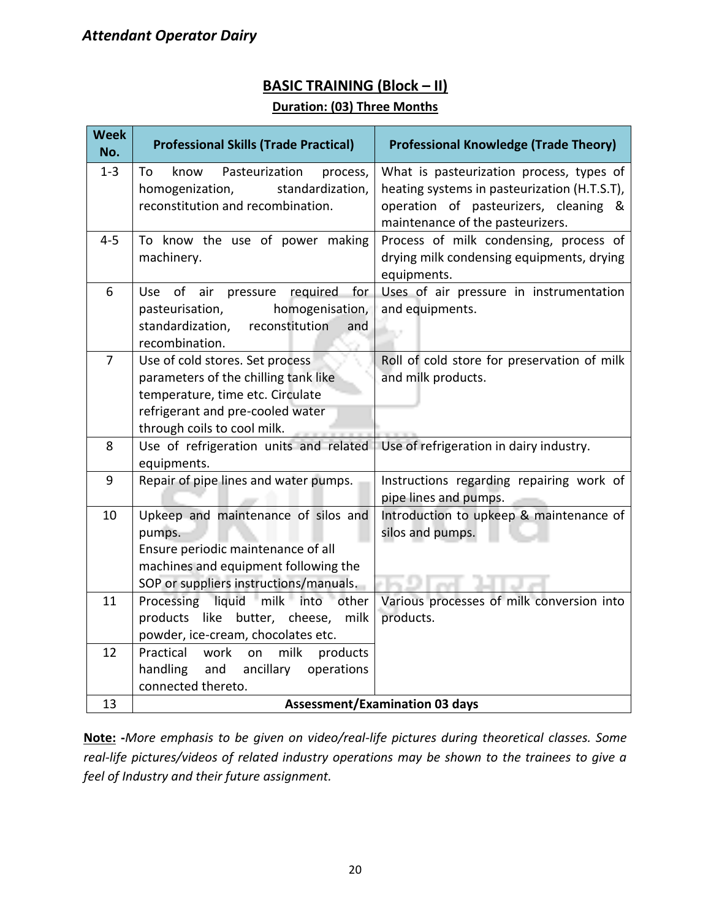#### **BASIC TRAINING (Block – II)**

#### **Duration: (03) Three Months**

| <b>Week</b><br>No. | <b>Professional Skills (Trade Practical)</b>                               | <b>Professional Knowledge (Trade Theory)</b>                                          |  |  |
|--------------------|----------------------------------------------------------------------------|---------------------------------------------------------------------------------------|--|--|
| $1 - 3$            | Pasteurization<br>To<br>know<br>process,                                   | What is pasteurization process, types of                                              |  |  |
|                    | homogenization,<br>standardization,<br>reconstitution and recombination.   | heating systems in pasteurization (H.T.S.T),<br>operation of pasteurizers, cleaning & |  |  |
|                    |                                                                            | maintenance of the pasteurizers.                                                      |  |  |
| $4 - 5$            | To know the use of power making                                            | Process of milk condensing, process of                                                |  |  |
|                    | machinery.                                                                 | drying milk condensing equipments, drying<br>equipments.                              |  |  |
| 6                  | Use of air pressure required<br>for                                        | Uses of air pressure in instrumentation                                               |  |  |
|                    | homogenisation,<br>pasteurisation,                                         | and equipments.                                                                       |  |  |
|                    | standardization,<br>reconstitution<br>and                                  | in a                                                                                  |  |  |
| $\overline{7}$     | recombination.                                                             |                                                                                       |  |  |
|                    | Use of cold stores. Set process<br>parameters of the chilling tank like    | Roll of cold store for preservation of milk<br>and milk products.                     |  |  |
|                    | temperature, time etc. Circulate                                           |                                                                                       |  |  |
|                    | refrigerant and pre-cooled water                                           |                                                                                       |  |  |
|                    | through coils to cool milk.                                                |                                                                                       |  |  |
| 8                  | Use of refrigeration units and related<br>equipments.                      | Use of refrigeration in dairy industry.                                               |  |  |
| 9                  | Repair of pipe lines and water pumps.                                      | Instructions regarding repairing work of                                              |  |  |
|                    |                                                                            | pipe lines and pumps.                                                                 |  |  |
| 10                 | Upkeep and maintenance of silos and                                        | Introduction to upkeep & maintenance of                                               |  |  |
|                    | pumps.                                                                     | silos and pumps.                                                                      |  |  |
|                    | Ensure periodic maintenance of all<br>machines and equipment following the |                                                                                       |  |  |
|                    | SOP or suppliers instructions/manuals.                                     |                                                                                       |  |  |
| 11                 | Processing liquid milk into other                                          | Various processes of milk conversion into                                             |  |  |
|                    | products like butter, cheese,<br>milk                                      | products.                                                                             |  |  |
|                    | powder, ice-cream, chocolates etc.                                         |                                                                                       |  |  |
| 12                 | Practical<br>milk<br>products<br>work<br>on                                |                                                                                       |  |  |
|                    | handling<br>ancillary<br>and<br>operations                                 |                                                                                       |  |  |
|                    | connected thereto.                                                         |                                                                                       |  |  |
| 13                 |                                                                            | <b>Assessment/Examination 03 days</b>                                                 |  |  |

**Note: -***More emphasis to be given on video/real-life pictures during theoretical classes. Some real-life pictures/videos of related industry operations may be shown to the trainees to give a feel of Industry and their future assignment.*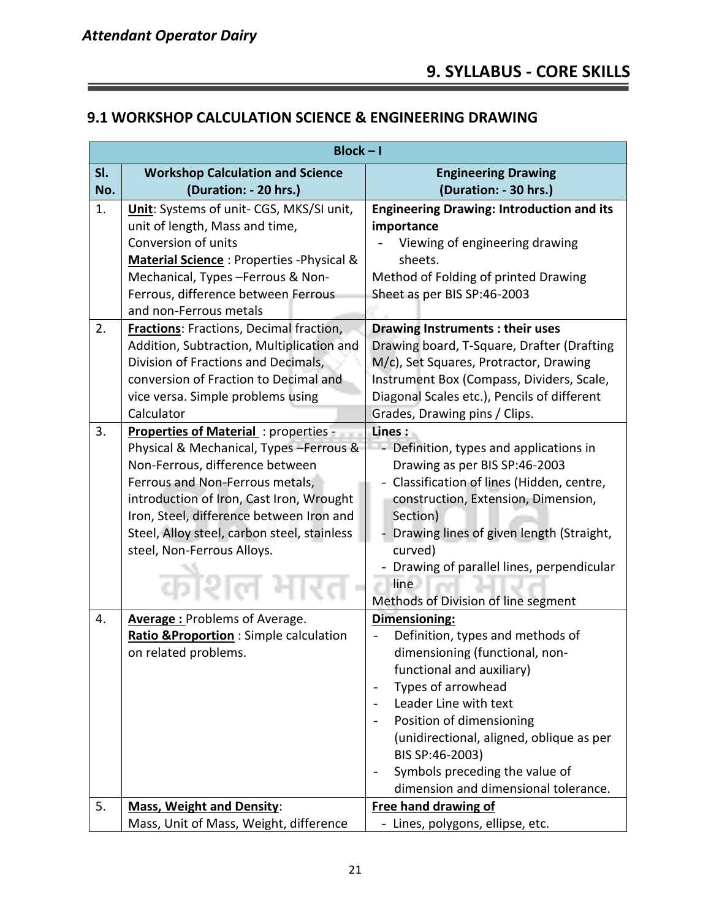Ξ

#### **9.1 WORKSHOP CALCULATION SCIENCE & ENGINEERING DRAWING**

|            | $Block - I$                                                                                                                                                                                                                                                                                                               |                                                                                                                                                                                                                                                                                                                                      |  |  |
|------------|---------------------------------------------------------------------------------------------------------------------------------------------------------------------------------------------------------------------------------------------------------------------------------------------------------------------------|--------------------------------------------------------------------------------------------------------------------------------------------------------------------------------------------------------------------------------------------------------------------------------------------------------------------------------------|--|--|
| SI.<br>No. | <b>Workshop Calculation and Science</b><br>(Duration: - 20 hrs.)                                                                                                                                                                                                                                                          | <b>Engineering Drawing</b><br>(Duration: - 30 hrs.)                                                                                                                                                                                                                                                                                  |  |  |
| 1.         | Unit: Systems of unit- CGS, MKS/SI unit,<br>unit of length, Mass and time,<br>Conversion of units<br>Material Science: Properties - Physical &<br>Mechanical, Types-Ferrous & Non-<br>Ferrous, difference between Ferrous<br>and non-Ferrous metals                                                                       | <b>Engineering Drawing: Introduction and its</b><br>importance<br>Viewing of engineering drawing<br>sheets.<br>Method of Folding of printed Drawing<br>Sheet as per BIS SP:46-2003                                                                                                                                                   |  |  |
| 2.         | <b>Fractions:</b> Fractions, Decimal fraction,<br>Addition, Subtraction, Multiplication and<br>Division of Fractions and Decimals,<br>conversion of Fraction to Decimal and<br>vice versa. Simple problems using<br>Calculator                                                                                            | <b>Drawing Instruments: their uses</b><br>Drawing board, T-Square, Drafter (Drafting<br>M/c), Set Squares, Protractor, Drawing<br>Instrument Box (Compass, Dividers, Scale,<br>Diagonal Scales etc.), Pencils of different<br>Grades, Drawing pins / Clips.                                                                          |  |  |
| 3.         | Properties of Material: properties<br>Physical & Mechanical, Types - Ferrous &<br>Non-Ferrous, difference between<br>Ferrous and Non-Ferrous metals,<br>introduction of Iron, Cast Iron, Wrought<br>Iron, Steel, difference between Iron and<br>Steel, Alloy steel, carbon steel, stainless<br>steel, Non-Ferrous Alloys. | Lines:<br>Definition, types and applications in<br>Drawing as per BIS SP:46-2003<br>Classification of lines (Hidden, centre,<br>construction, Extension, Dimension,<br>Section)<br>Drawing lines of given length (Straight,<br>curved)<br>Drawing of parallel lines, perpendicular<br>line<br>Methods of Division of line segment    |  |  |
| 4.         | <b>Average: Problems of Average.</b><br>Ratio & Proportion: Simple calculation<br>on related problems.                                                                                                                                                                                                                    | Dimensioning:<br>Definition, types and methods of<br>dimensioning (functional, non-<br>functional and auxiliary)<br>Types of arrowhead<br>Leader Line with text<br>Position of dimensioning<br>(unidirectional, aligned, oblique as per<br>BIS SP:46-2003)<br>Symbols preceding the value of<br>dimension and dimensional tolerance. |  |  |
| 5.         | <b>Mass, Weight and Density:</b><br>Mass, Unit of Mass, Weight, difference                                                                                                                                                                                                                                                | <b>Free hand drawing of</b><br>- Lines, polygons, ellipse, etc.                                                                                                                                                                                                                                                                      |  |  |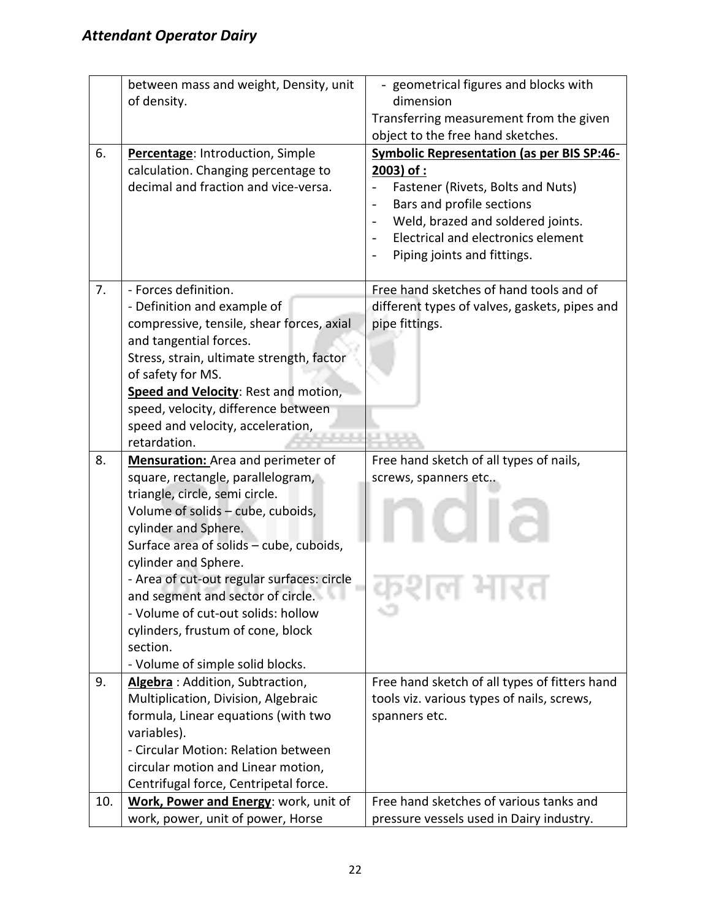|     | between mass and weight, Density, unit     | - geometrical figures and blocks with                          |
|-----|--------------------------------------------|----------------------------------------------------------------|
|     | of density.                                | dimension                                                      |
|     |                                            | Transferring measurement from the given                        |
|     |                                            | object to the free hand sketches.                              |
| 6.  | Percentage: Introduction, Simple           | <b>Symbolic Representation (as per BIS SP:46-</b>              |
|     | calculation. Changing percentage to        | $2003$ ) of :                                                  |
|     | decimal and fraction and vice-versa.       | Fastener (Rivets, Bolts and Nuts)                              |
|     |                                            | Bars and profile sections<br>$\qquad \qquad -$                 |
|     |                                            | Weld, brazed and soldered joints.                              |
|     |                                            | Electrical and electronics element<br>$\overline{\phantom{a}}$ |
|     |                                            | Piping joints and fittings.                                    |
|     |                                            |                                                                |
| 7.  | - Forces definition.                       | Free hand sketches of hand tools and of                        |
|     | - Definition and example of                | different types of valves, gaskets, pipes and                  |
|     | compressive, tensile, shear forces, axial  | pipe fittings.                                                 |
|     | and tangential forces.                     |                                                                |
|     | Stress, strain, ultimate strength, factor  |                                                                |
|     | of safety for MS.                          |                                                                |
|     | Speed and Velocity: Rest and motion,       |                                                                |
|     | speed, velocity, difference between        |                                                                |
|     | speed and velocity, acceleration,          |                                                                |
|     | retardation.                               |                                                                |
| 8.  | <b>Mensuration:</b> Area and perimeter of  | Free hand sketch of all types of nails,                        |
|     | square, rectangle, parallelogram,          | screws, spanners etc                                           |
|     | triangle, circle, semi circle.             |                                                                |
|     | Volume of solids - cube, cuboids,          |                                                                |
|     | cylinder and Sphere.                       |                                                                |
|     | Surface area of solids - cube, cuboids,    |                                                                |
|     | cylinder and Sphere.                       |                                                                |
|     | - Area of cut-out regular surfaces: circle |                                                                |
|     | and segment and sector of circle.          |                                                                |
|     | - Volume of cut-out solids: hollow         |                                                                |
|     | cylinders, frustum of cone, block          |                                                                |
|     | section.                                   |                                                                |
|     | - Volume of simple solid blocks.           |                                                                |
| 9.  | Algebra: Addition, Subtraction,            | Free hand sketch of all types of fitters hand                  |
|     | Multiplication, Division, Algebraic        | tools viz. various types of nails, screws,                     |
|     | formula, Linear equations (with two        | spanners etc.                                                  |
|     | variables).                                |                                                                |
|     | - Circular Motion: Relation between        |                                                                |
|     | circular motion and Linear motion,         |                                                                |
|     | Centrifugal force, Centripetal force.      |                                                                |
| 10. | Work, Power and Energy: work, unit of      | Free hand sketches of various tanks and                        |
|     | work, power, unit of power, Horse          | pressure vessels used in Dairy industry.                       |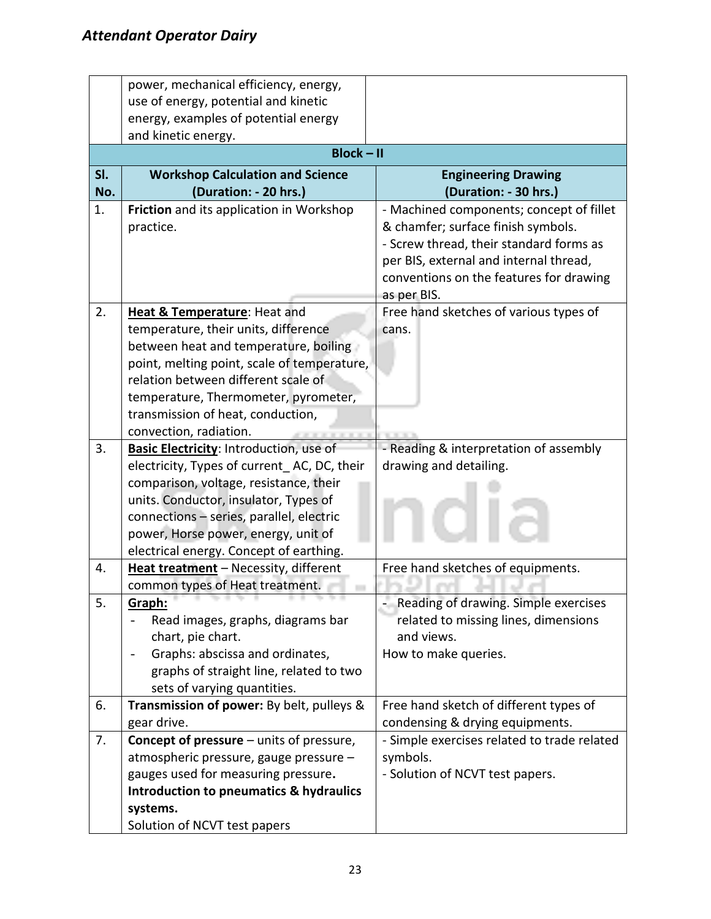|     | power, mechanical efficiency, energy,                                 |                                             |  |  |
|-----|-----------------------------------------------------------------------|---------------------------------------------|--|--|
|     | use of energy, potential and kinetic                                  |                                             |  |  |
|     | energy, examples of potential energy                                  |                                             |  |  |
|     | and kinetic energy.                                                   |                                             |  |  |
|     | $Block - II$                                                          |                                             |  |  |
| SI. | <b>Workshop Calculation and Science</b><br><b>Engineering Drawing</b> |                                             |  |  |
| No. | (Duration: - 20 hrs.)                                                 | (Duration: - 30 hrs.)                       |  |  |
| 1.  | Friction and its application in Workshop                              | - Machined components; concept of fillet    |  |  |
|     | practice.                                                             | & chamfer; surface finish symbols.          |  |  |
|     |                                                                       | - Screw thread, their standard forms as     |  |  |
|     |                                                                       | per BIS, external and internal thread,      |  |  |
|     |                                                                       | conventions on the features for drawing     |  |  |
|     |                                                                       | as per BIS.                                 |  |  |
| 2.  | <b>Heat &amp; Temperature: Heat and</b>                               | Free hand sketches of various types of      |  |  |
|     | temperature, their units, difference                                  | cans.                                       |  |  |
|     | between heat and temperature, boiling                                 |                                             |  |  |
|     | point, melting point, scale of temperature,                           |                                             |  |  |
|     | relation between different scale of                                   |                                             |  |  |
|     | temperature, Thermometer, pyrometer,                                  |                                             |  |  |
|     | transmission of heat, conduction,                                     |                                             |  |  |
|     | convection, radiation.                                                |                                             |  |  |
| 3.  | Basic Electricity: Introduction, use of                               | - Reading & interpretation of assembly      |  |  |
|     | electricity, Types of current AC, DC, their                           | drawing and detailing.                      |  |  |
|     | comparison, voltage, resistance, their                                |                                             |  |  |
|     | units. Conductor, insulator, Types of                                 |                                             |  |  |
|     | connections - series, parallel, electric                              |                                             |  |  |
|     | power, Horse power, energy, unit of                                   |                                             |  |  |
|     | electrical energy. Concept of earthing.                               |                                             |  |  |
| 4.  | Heat treatment - Necessity, different                                 | Free hand sketches of equipments.           |  |  |
|     | common types of Heat treatment.<br><b>.</b><br><b>117771</b>          |                                             |  |  |
| 5.  | Graph:                                                                | Reading of drawing. Simple exercises        |  |  |
|     | Read images, graphs, diagrams bar                                     | related to missing lines, dimensions        |  |  |
|     | chart, pie chart.                                                     | and views.                                  |  |  |
|     | Graphs: abscissa and ordinates,                                       | How to make queries.                        |  |  |
|     | graphs of straight line, related to two                               |                                             |  |  |
|     | sets of varying quantities.                                           |                                             |  |  |
| 6.  | Transmission of power: By belt, pulleys &                             | Free hand sketch of different types of      |  |  |
|     | gear drive.                                                           | condensing & drying equipments.             |  |  |
| 7.  | <b>Concept of pressure</b> – units of pressure,                       | - Simple exercises related to trade related |  |  |
|     | atmospheric pressure, gauge pressure -                                | symbols.                                    |  |  |
|     | gauges used for measuring pressure.                                   | - Solution of NCVT test papers.             |  |  |
|     | Introduction to pneumatics & hydraulics                               |                                             |  |  |
|     | systems.                                                              |                                             |  |  |
|     | Solution of NCVT test papers                                          |                                             |  |  |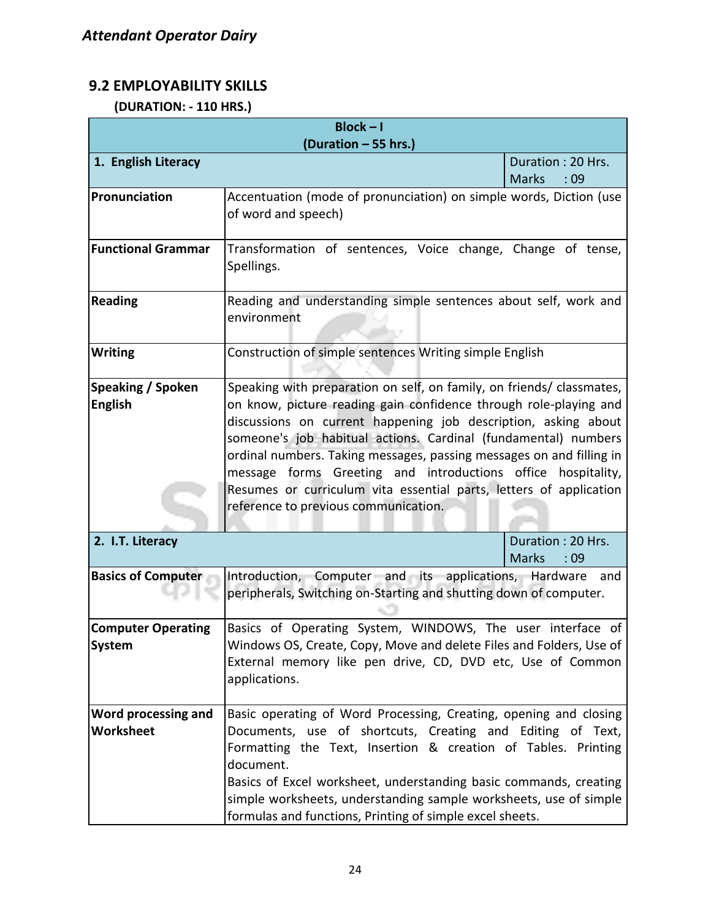#### **9.2 EMPLOYABILITY SKILLS**

 **(DURATION: - 110 HRS.)**

| $Block - I$                                |                                                                                                                                                                                                                                                                                                                                                                                                                                                                                                                                      |                                           |  |  |  |  |
|--------------------------------------------|--------------------------------------------------------------------------------------------------------------------------------------------------------------------------------------------------------------------------------------------------------------------------------------------------------------------------------------------------------------------------------------------------------------------------------------------------------------------------------------------------------------------------------------|-------------------------------------------|--|--|--|--|
|                                            | (Duration - 55 hrs.)                                                                                                                                                                                                                                                                                                                                                                                                                                                                                                                 |                                           |  |  |  |  |
| 1. English Literacy                        |                                                                                                                                                                                                                                                                                                                                                                                                                                                                                                                                      | Duration: 20 Hrs.<br><b>Marks</b><br>: 09 |  |  |  |  |
| Pronunciation                              | Accentuation (mode of pronunciation) on simple words, Diction (use<br>of word and speech)                                                                                                                                                                                                                                                                                                                                                                                                                                            |                                           |  |  |  |  |
| <b>Functional Grammar</b>                  | Transformation of sentences, Voice change, Change of tense,<br>Spellings.                                                                                                                                                                                                                                                                                                                                                                                                                                                            |                                           |  |  |  |  |
| <b>Reading</b>                             | Reading and understanding simple sentences about self, work and<br>environment                                                                                                                                                                                                                                                                                                                                                                                                                                                       |                                           |  |  |  |  |
| <b>Writing</b>                             | Construction of simple sentences Writing simple English                                                                                                                                                                                                                                                                                                                                                                                                                                                                              |                                           |  |  |  |  |
| Speaking / Spoken<br><b>English</b>        | Speaking with preparation on self, on family, on friends/ classmates,<br>on know, picture reading gain confidence through role-playing and<br>discussions on current happening job description, asking about<br>someone's job habitual actions. Cardinal (fundamental) numbers<br>ordinal numbers. Taking messages, passing messages on and filling in<br>message forms Greeting and introductions office hospitality,<br>Resumes or curriculum vita essential parts, letters of application<br>reference to previous communication. |                                           |  |  |  |  |
| 2. I.T. Literacy                           |                                                                                                                                                                                                                                                                                                                                                                                                                                                                                                                                      | Duration: 20 Hrs.<br><b>Marks</b><br>:09  |  |  |  |  |
| <b>Basics of Computer</b>                  | Introduction, Computer and its applications, Hardware and<br>peripherals, Switching on-Starting and shutting down of computer.                                                                                                                                                                                                                                                                                                                                                                                                       |                                           |  |  |  |  |
| <b>Computer Operating</b><br><b>System</b> | Basics of Operating System, WINDOWS, The user interface of<br>Windows OS, Create, Copy, Move and delete Files and Folders, Use of<br>External memory like pen drive, CD, DVD etc, Use of Common<br>applications.                                                                                                                                                                                                                                                                                                                     |                                           |  |  |  |  |
| Word processing and<br><b>Worksheet</b>    | Basic operating of Word Processing, Creating, opening and closing<br>Documents, use of shortcuts, Creating and Editing of Text,<br>Formatting the Text, Insertion & creation of Tables. Printing<br>document.<br>Basics of Excel worksheet, understanding basic commands, creating<br>simple worksheets, understanding sample worksheets, use of simple<br>formulas and functions, Printing of simple excel sheets.                                                                                                                  |                                           |  |  |  |  |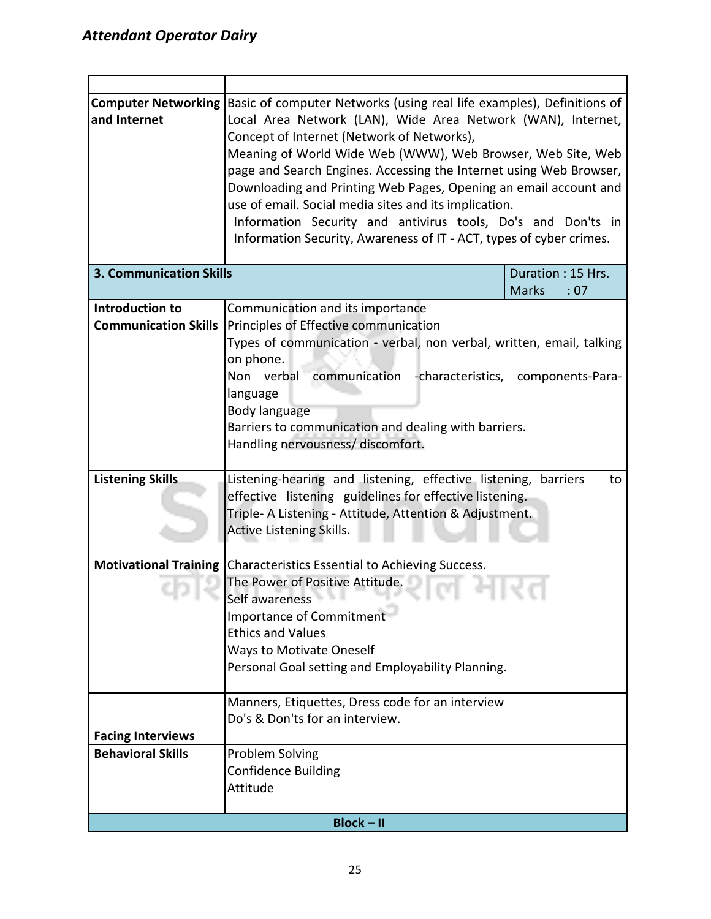| and Internet                                         | <b>Computer Networking Basic of computer Networks (using real life examples), Definitions of</b><br>Local Area Network (LAN), Wide Area Network (WAN), Internet,<br>Concept of Internet (Network of Networks),<br>Meaning of World Wide Web (WWW), Web Browser, Web Site, Web<br>page and Search Engines. Accessing the Internet using Web Browser,<br>Downloading and Printing Web Pages, Opening an email account and<br>use of email. Social media sites and its implication.<br>Information Security and antivirus tools, Do's and Don'ts in<br>Information Security, Awareness of IT - ACT, types of cyber crimes. |                                          |  |  |
|------------------------------------------------------|-------------------------------------------------------------------------------------------------------------------------------------------------------------------------------------------------------------------------------------------------------------------------------------------------------------------------------------------------------------------------------------------------------------------------------------------------------------------------------------------------------------------------------------------------------------------------------------------------------------------------|------------------------------------------|--|--|
| <b>3. Communication Skills</b>                       |                                                                                                                                                                                                                                                                                                                                                                                                                                                                                                                                                                                                                         | Duration: 15 Hrs.<br><b>Marks</b><br>:07 |  |  |
| Introduction to<br><b>Communication Skills</b>       | Communication and its importance<br>Principles of Effective communication<br>Types of communication - verbal, non verbal, written, email, talking<br>on phone.<br>communication -characteristics, components-Para-<br>Non verbal<br>language<br>Body language<br>Barriers to communication and dealing with barriers.<br>Handling nervousness/ discomfort.                                                                                                                                                                                                                                                              |                                          |  |  |
| <b>Listening Skills</b>                              | Listening-hearing and listening, effective listening, barriers<br>to<br>effective listening guidelines for effective listening.<br>Triple- A Listening - Attitude, Attention & Adjustment.<br><b>Active Listening Skills.</b>                                                                                                                                                                                                                                                                                                                                                                                           |                                          |  |  |
|                                                      | Motivational Training Characteristics Essential to Achieving Success.<br>The Power of Positive Attitude.<br>Self awareness<br>The State of<br>Importance of Commitment<br><b>Ethics and Values</b><br><b>Ways to Motivate Oneself</b><br>Personal Goal setting and Employability Planning.                                                                                                                                                                                                                                                                                                                              |                                          |  |  |
|                                                      | Manners, Etiquettes, Dress code for an interview<br>Do's & Don'ts for an interview.                                                                                                                                                                                                                                                                                                                                                                                                                                                                                                                                     |                                          |  |  |
| <b>Facing Interviews</b><br><b>Behavioral Skills</b> | Problem Solving<br><b>Confidence Building</b><br>Attitude                                                                                                                                                                                                                                                                                                                                                                                                                                                                                                                                                               |                                          |  |  |
|                                                      | $Block - II$                                                                                                                                                                                                                                                                                                                                                                                                                                                                                                                                                                                                            |                                          |  |  |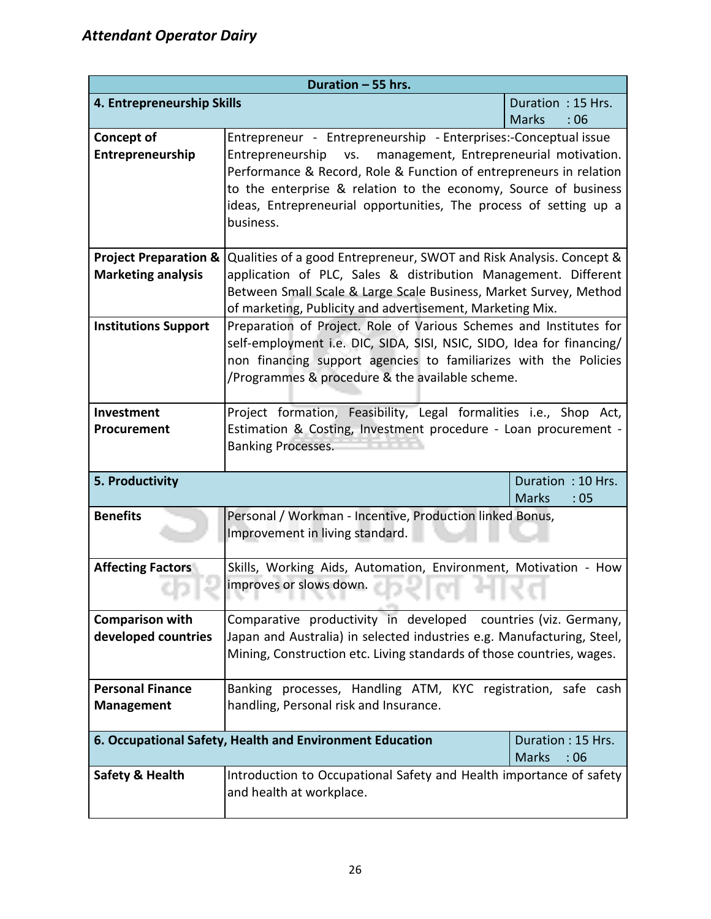| Duration - 55 hrs.                                                                                   |                                                                                                                                                                                                                                                                                                                                                     |                     |  |  |
|------------------------------------------------------------------------------------------------------|-----------------------------------------------------------------------------------------------------------------------------------------------------------------------------------------------------------------------------------------------------------------------------------------------------------------------------------------------------|---------------------|--|--|
| 4. Entrepreneurship Skills                                                                           |                                                                                                                                                                                                                                                                                                                                                     | Duration: 15 Hrs.   |  |  |
|                                                                                                      |                                                                                                                                                                                                                                                                                                                                                     | <b>Marks</b><br>:06 |  |  |
| <b>Concept of</b><br>Entrepreneurship                                                                | Entrepreneur - Entrepreneurship - Enterprises:-Conceptual issue<br>VS.<br>management, Entrepreneurial motivation.<br>Entrepreneurship<br>Performance & Record, Role & Function of entrepreneurs in relation<br>to the enterprise & relation to the economy, Source of business<br>ideas, Entrepreneurial opportunities, The process of setting up a |                     |  |  |
|                                                                                                      | business.                                                                                                                                                                                                                                                                                                                                           |                     |  |  |
| <b>Project Preparation &amp;</b><br><b>Marketing analysis</b>                                        | Qualities of a good Entrepreneur, SWOT and Risk Analysis. Concept &<br>application of PLC, Sales & distribution Management. Different<br>Between Small Scale & Large Scale Business, Market Survey, Method<br>of marketing, Publicity and advertisement, Marketing Mix.                                                                             |                     |  |  |
| <b>Institutions Support</b>                                                                          | Preparation of Project. Role of Various Schemes and Institutes for<br>self-employment i.e. DIC, SIDA, SISI, NSIC, SIDO, Idea for financing/<br>non financing support agencies to familiarizes with the Policies<br>/Programmes & procedure & the available scheme.                                                                                  |                     |  |  |
| Investment<br>Procurement                                                                            | Project formation, Feasibility, Legal formalities i.e., Shop Act,<br>Estimation & Costing, Investment procedure - Loan procurement -<br><b>Banking Processes.</b>                                                                                                                                                                                   |                     |  |  |
| 5. Productivity                                                                                      | Duration: 10 Hrs.<br><b>Marks</b><br>:05                                                                                                                                                                                                                                                                                                            |                     |  |  |
| <b>Benefits</b>                                                                                      | Personal / Workman - Incentive, Production linked Bonus,<br>Improvement in living standard.                                                                                                                                                                                                                                                         |                     |  |  |
| <b>Affecting Factors</b>                                                                             | Skills, Working Aids, Automation, Environment, Motivation - How                                                                                                                                                                                                                                                                                     |                     |  |  |
| .                                                                                                    | improves or slows down.<br>the control of the control of<br><b>The Rent Product</b>                                                                                                                                                                                                                                                                 | .                   |  |  |
| <b>Comparison with</b><br>developed countries                                                        | Comparative productivity in developed countries (viz. Germany,<br>Japan and Australia) in selected industries e.g. Manufacturing, Steel,<br>Mining, Construction etc. Living standards of those countries, wages.                                                                                                                                   |                     |  |  |
| <b>Personal Finance</b><br><b>Management</b>                                                         | Banking processes, Handling ATM, KYC registration, safe cash<br>handling, Personal risk and Insurance.                                                                                                                                                                                                                                              |                     |  |  |
|                                                                                                      |                                                                                                                                                                                                                                                                                                                                                     |                     |  |  |
| 6. Occupational Safety, Health and Environment Education<br>Duration: 15 Hrs.<br><b>Marks</b><br>:06 |                                                                                                                                                                                                                                                                                                                                                     |                     |  |  |
| <b>Safety &amp; Health</b>                                                                           | Introduction to Occupational Safety and Health importance of safety<br>and health at workplace.                                                                                                                                                                                                                                                     |                     |  |  |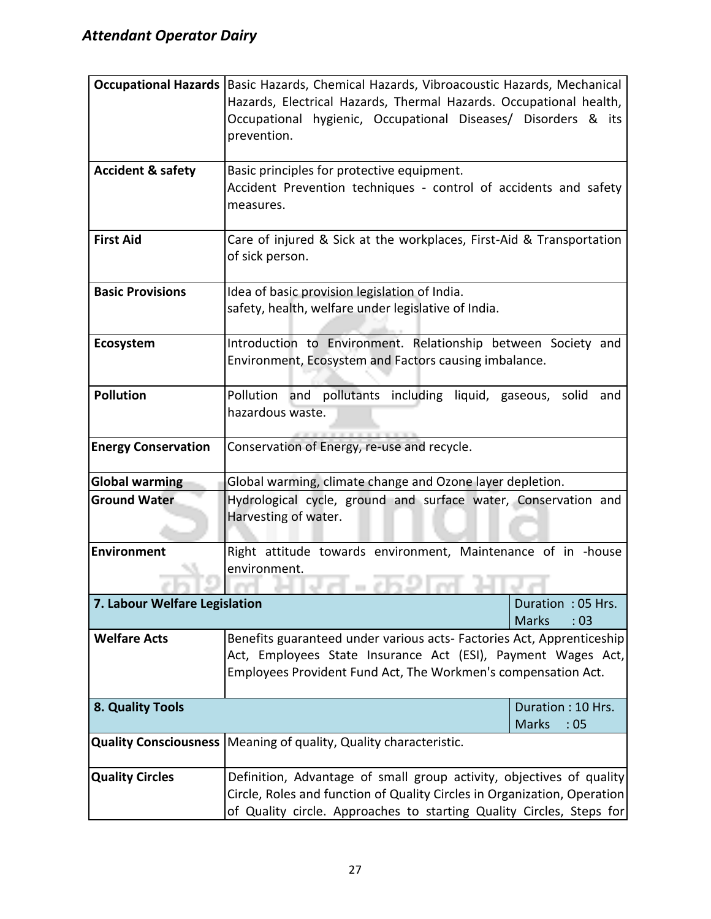|                               | Occupational Hazards   Basic Hazards, Chemical Hazards, Vibroacoustic Hazards, Mechanical |                     |  |  |
|-------------------------------|-------------------------------------------------------------------------------------------|---------------------|--|--|
|                               | Hazards, Electrical Hazards, Thermal Hazards. Occupational health,                        |                     |  |  |
|                               | Occupational hygienic, Occupational Diseases/ Disorders & its                             |                     |  |  |
|                               | prevention.                                                                               |                     |  |  |
|                               |                                                                                           |                     |  |  |
| <b>Accident &amp; safety</b>  | Basic principles for protective equipment.                                                |                     |  |  |
|                               | Accident Prevention techniques - control of accidents and safety                          |                     |  |  |
|                               | measures.                                                                                 |                     |  |  |
|                               |                                                                                           |                     |  |  |
| <b>First Aid</b>              | Care of injured & Sick at the workplaces, First-Aid & Transportation                      |                     |  |  |
|                               | of sick person.                                                                           |                     |  |  |
| <b>Basic Provisions</b>       | Idea of basic provision legislation of India.                                             |                     |  |  |
|                               | safety, health, welfare under legislative of India.                                       |                     |  |  |
|                               |                                                                                           |                     |  |  |
| Ecosystem                     | Introduction to Environment. Relationship between Society and                             |                     |  |  |
|                               | Environment, Ecosystem and Factors causing imbalance.                                     |                     |  |  |
|                               |                                                                                           |                     |  |  |
| <b>Pollution</b>              | Pollution and pollutants including liquid, gaseous, solid                                 | and                 |  |  |
|                               | hazardous waste.                                                                          |                     |  |  |
|                               |                                                                                           |                     |  |  |
| <b>Energy Conservation</b>    | Conservation of Energy, re-use and recycle.                                               |                     |  |  |
|                               |                                                                                           |                     |  |  |
| <b>Global warming</b>         | Global warming, climate change and Ozone layer depletion.                                 |                     |  |  |
| <b>Ground Water</b>           | Hydrological cycle, ground and surface water, Conservation and                            |                     |  |  |
|                               | Harvesting of water.                                                                      |                     |  |  |
|                               |                                                                                           |                     |  |  |
| <b>Environment</b>            | Right attitude towards environment, Maintenance of in -house                              |                     |  |  |
|                               | environment.                                                                              |                     |  |  |
| 7. Labour Welfare Legislation |                                                                                           | Duration: 05 Hrs.   |  |  |
|                               |                                                                                           | <b>Marks</b><br>:03 |  |  |
| <b>Welfare Acts</b>           | Benefits guaranteed under various acts- Factories Act, Apprenticeship                     |                     |  |  |
|                               | Act, Employees State Insurance Act (ESI), Payment Wages Act,                              |                     |  |  |
|                               | Employees Provident Fund Act, The Workmen's compensation Act.                             |                     |  |  |
|                               |                                                                                           |                     |  |  |
| 8. Quality Tools              |                                                                                           | Duration: 10 Hrs.   |  |  |
|                               |                                                                                           | <b>Marks</b><br>:05 |  |  |
| <b>Quality Consciousness</b>  | Meaning of quality, Quality characteristic.                                               |                     |  |  |
|                               |                                                                                           |                     |  |  |
| <b>Quality Circles</b>        | Definition, Advantage of small group activity, objectives of quality                      |                     |  |  |
|                               | Circle, Roles and function of Quality Circles in Organization, Operation                  |                     |  |  |
|                               | of Quality circle. Approaches to starting Quality Circles, Steps for                      |                     |  |  |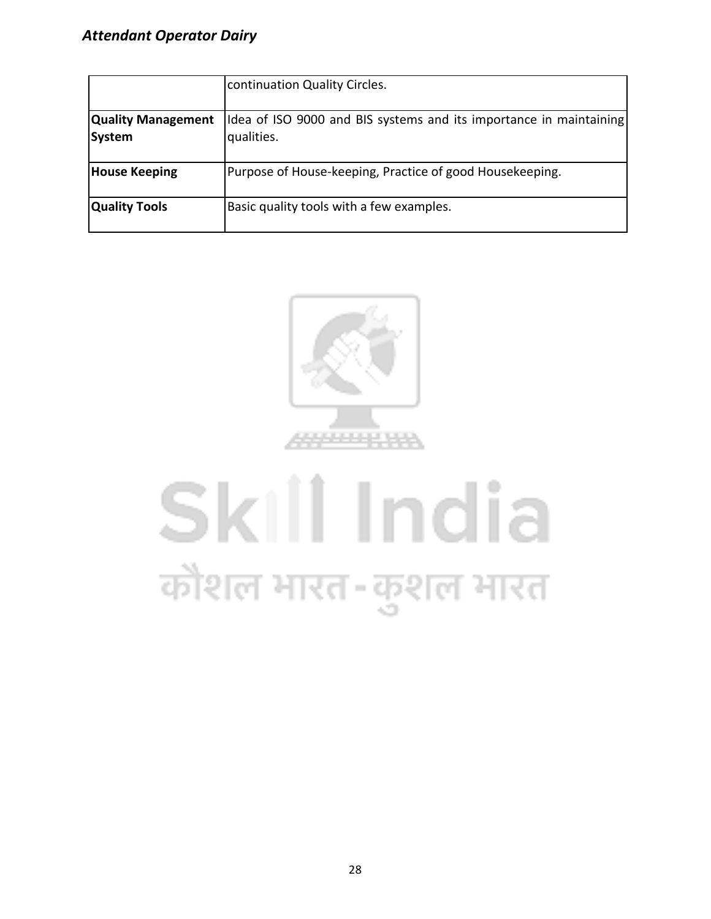|                                     | continuation Quality Circles.                                                    |
|-------------------------------------|----------------------------------------------------------------------------------|
| <b>Quality Management</b><br>System | Idea of ISO 9000 and BIS systems and its importance in maintaining<br>qualities. |
| <b>House Keeping</b>                | Purpose of House-keeping, Practice of good Housekeeping.                         |
| <b>Quality Tools</b>                | Basic quality tools with a few examples.                                         |



# Skill India कौशल भारत-कुशल भारत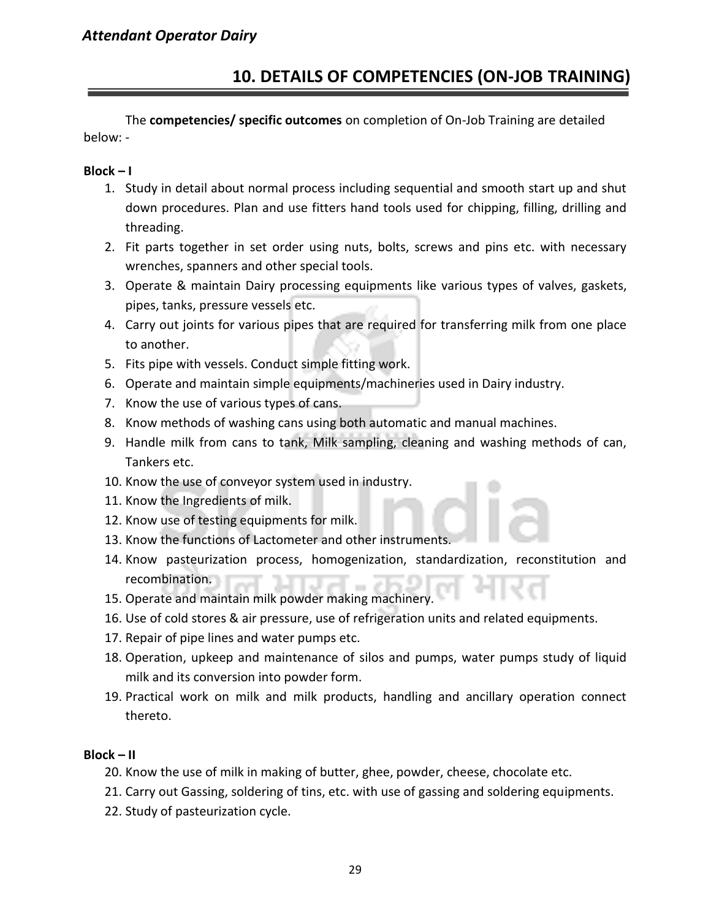#### **10. DETAILS OF COMPETENCIES (ON-JOB TRAINING)**

The **competencies/ specific outcomes** on completion of On-Job Training are detailed below: -

#### **Block – I**

- 1. Study in detail about normal process including sequential and smooth start up and shut down procedures. Plan and use fitters hand tools used for chipping, filling, drilling and threading.
- 2. Fit parts together in set order using nuts, bolts, screws and pins etc. with necessary wrenches, spanners and other special tools.
- 3. Operate & maintain Dairy processing equipments like various types of valves, gaskets, pipes, tanks, pressure vessels etc.
- 4. Carry out joints for various pipes that are required for transferring milk from one place to another.
- 5. Fits pipe with vessels. Conduct simple fitting work.
- 6. Operate and maintain simple equipments/machineries used in Dairy industry.
- 7. Know the use of various types of cans.
- 8. Know methods of washing cans using both automatic and manual machines.
- 9. Handle milk from cans to tank, Milk sampling, cleaning and washing methods of can, Tankers etc.
- 10. Know the use of conveyor system used in industry.
- 11. Know the Ingredients of milk.
- 12. Know use of testing equipments for milk.
- 13. Know the functions of Lactometer and other instruments.
- 14. Know pasteurization process, homogenization, standardization, reconstitution and recombination.
- 15. Operate and maintain milk powder making machinery.
- 16. Use of cold stores & air pressure, use of refrigeration units and related equipments.
- 17. Repair of pipe lines and water pumps etc.
- 18. Operation, upkeep and maintenance of silos and pumps, water pumps study of liquid milk and its conversion into powder form.
- 19. Practical work on milk and milk products, handling and ancillary operation connect thereto.

#### **Block – II**

- 20. Know the use of milk in making of butter, ghee, powder, cheese, chocolate etc.
- 21. Carry out Gassing, soldering of tins, etc. with use of gassing and soldering equipments.
- 22. Study of pasteurization cycle.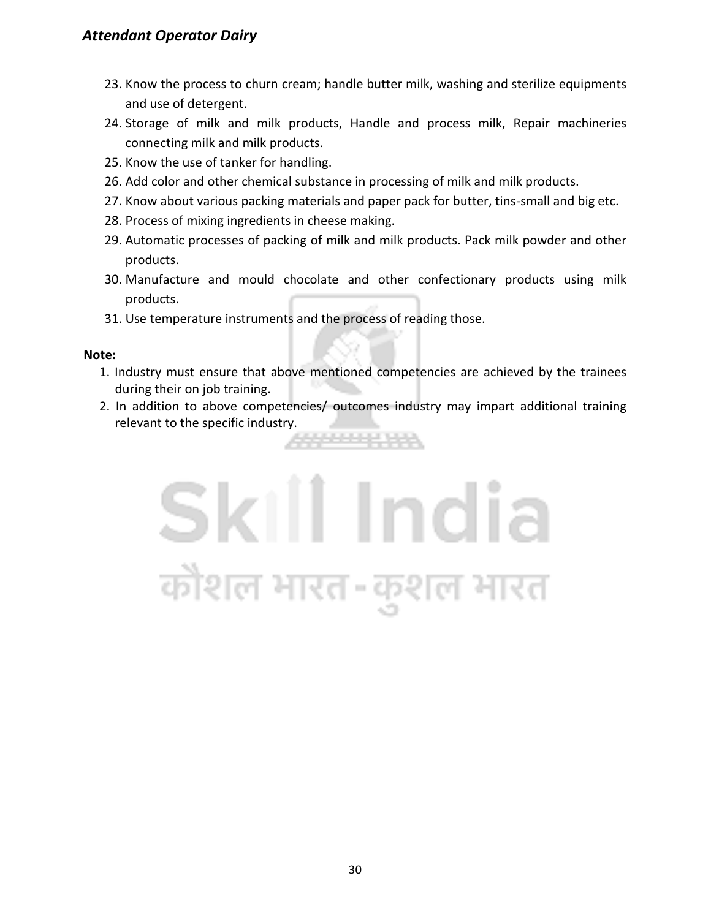- 23. Know the process to churn cream; handle butter milk, washing and sterilize equipments and use of detergent.
- 24. Storage of milk and milk products, Handle and process milk, Repair machineries connecting milk and milk products.
- 25. Know the use of tanker for handling.
- 26. Add color and other chemical substance in processing of milk and milk products.
- 27. Know about various packing materials and paper pack for butter, tins-small and big etc.
- 28. Process of mixing ingredients in cheese making.
- 29. Automatic processes of packing of milk and milk products. Pack milk powder and other products.
- 30. Manufacture and mould chocolate and other confectionary products using milk products.
- 31. Use temperature instruments and the process of reading those.

#### **Note:**

- 1. Industry must ensure that above mentioned competencies are achieved by the trainees during their on job training.
- 2. In addition to above competencies/ outcomes industry may impart additional training relevant to the specific industry.22232423

## Skill India कोशल भारत-कुशल भारत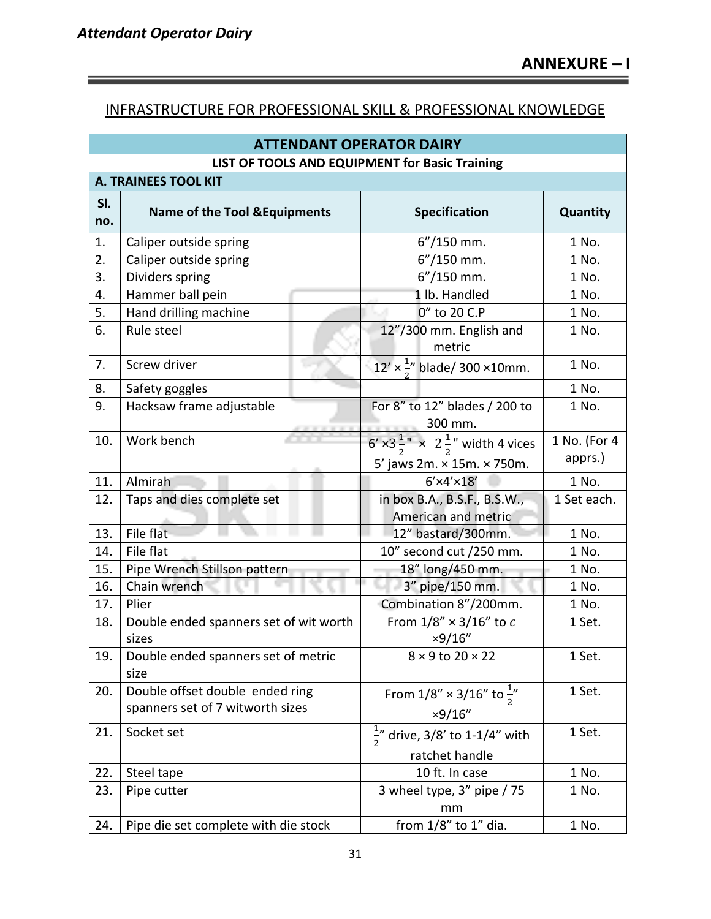#### INFRASTRUCTURE FOR PROFESSIONAL SKILL & PROFESSIONAL KNOWLEDGE

|            | <b>ATTENDANT OPERATOR DAIRY</b>                                     |                                                                                                               |                         |  |  |  |  |
|------------|---------------------------------------------------------------------|---------------------------------------------------------------------------------------------------------------|-------------------------|--|--|--|--|
|            | LIST OF TOOLS AND EQUIPMENT for Basic Training                      |                                                                                                               |                         |  |  |  |  |
|            | <b>A. TRAINEES TOOL KIT</b>                                         |                                                                                                               |                         |  |  |  |  |
| SI.<br>no. | <b>Name of the Tool &amp; Equipments</b>                            | <b>Specification</b>                                                                                          | Quantity                |  |  |  |  |
| 1.         | Caliper outside spring                                              | $6''/150$ mm.                                                                                                 | 1 No.                   |  |  |  |  |
| 2.         | Caliper outside spring                                              | $6''/150$ mm.                                                                                                 | 1 No.                   |  |  |  |  |
| 3.         | Dividers spring                                                     | $6''/150$ mm.                                                                                                 | 1 No.                   |  |  |  |  |
| 4.         | Hammer ball pein                                                    | 1 lb. Handled                                                                                                 | 1 No.                   |  |  |  |  |
| 5.         | Hand drilling machine                                               | 0" to 20 C.P                                                                                                  | 1 No.                   |  |  |  |  |
| 6.         | Rule steel                                                          | 12"/300 mm. English and<br>metric                                                                             | 1 No.                   |  |  |  |  |
| 7.         | Screw driver                                                        | $12' \times \frac{1}{2}$ blade/ 300 ×10mm.                                                                    | 1 No.                   |  |  |  |  |
| 8.         | Safety goggles                                                      |                                                                                                               | 1 No.                   |  |  |  |  |
| 9.         | Hacksaw frame adjustable                                            | For 8" to 12" blades / 200 to<br>300 mm.                                                                      | 1 No.                   |  |  |  |  |
| 10.        | Work bench                                                          | $6' \times 3\frac{1}{2}$ $\times$ 2 $\frac{1}{2}$ width 4 vices<br>$5'$ jaws 2m. $\times$ 15m. $\times$ 750m. | 1 No. (For 4<br>apprs.) |  |  |  |  |
| 11.        | Almirah                                                             | $6'$ ×4'×18'                                                                                                  | 1 No.                   |  |  |  |  |
| 12.        | Taps and dies complete set                                          | in box B.A., B.S.F., B.S.W.,<br>American and metric                                                           | 1 Set each.             |  |  |  |  |
| 13.        | File flat                                                           | 12" bastard/300mm.                                                                                            | 1 No.                   |  |  |  |  |
| 14.        | File flat                                                           | 10" second cut /250 mm.<br>1 No.                                                                              |                         |  |  |  |  |
| 15.        | Pipe Wrench Stillson pattern                                        | 18" long/450 mm.<br>1 No.                                                                                     |                         |  |  |  |  |
| 16.        | Chain wrench                                                        | 3" pipe/150 mm.<br>1 No.                                                                                      |                         |  |  |  |  |
| 17.        | Plier                                                               | Combination 8"/200mm.                                                                                         | 1 No.                   |  |  |  |  |
| 18.        | Double ended spanners set of wit worth<br>sizes                     | From $1/8'' \times 3/16''$ to c<br>×9/16"                                                                     | 1 Set.                  |  |  |  |  |
| 19.        | Double ended spanners set of metric<br>size                         | $8 \times 9$ to 20 $\times$ 22                                                                                | 1 Set.                  |  |  |  |  |
| 20.        | Double offset double ended ring<br>spanners set of 7 witworth sizes | From $1/8'' \times 3/16''$ to $\frac{1}{2}''$<br>×9/16"                                                       | 1 Set.                  |  |  |  |  |
| 21.        | Socket set                                                          | 1 Set.<br>$\frac{1}{2}$ " drive, 3/8' to 1-1/4" with<br>ratchet handle                                        |                         |  |  |  |  |
| 22.        | Steel tape                                                          | 10 ft. In case                                                                                                | 1 No.                   |  |  |  |  |
| 23.        | Pipe cutter                                                         | 3 wheel type, 3" pipe / 75<br>mm                                                                              | 1 No.                   |  |  |  |  |
| 24.        | Pipe die set complete with die stock                                | from 1/8" to 1" dia.                                                                                          | 1 No.                   |  |  |  |  |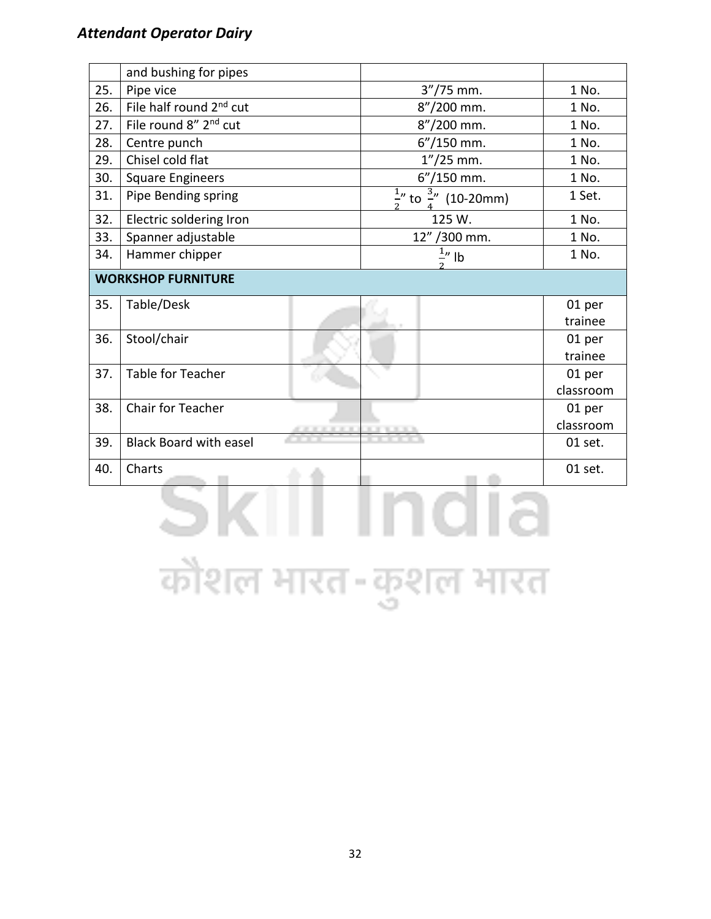|     | and bushing for pipes               |                   |                                          |           |
|-----|-------------------------------------|-------------------|------------------------------------------|-----------|
| 25. | Pipe vice                           |                   | $3''/75$ mm.                             | 1 No.     |
| 26. | File half round 2 <sup>nd</sup> cut |                   | 8"/200 mm.                               | 1 No.     |
| 27. | File round 8" 2 <sup>nd</sup> cut   |                   | 8"/200 mm.                               | 1 No.     |
| 28. | Centre punch                        |                   | $6''/150$ mm.                            | 1 No.     |
| 29. | Chisel cold flat                    |                   | $1''/25$ mm.                             | 1 No.     |
| 30. | <b>Square Engineers</b>             |                   | 6"/150 mm.                               | 1 No.     |
| 31. | Pipe Bending spring                 |                   | $\frac{1}{2}$ to $\frac{3}{4}$ (10-20mm) | 1 Set.    |
| 32. | Electric soldering Iron             |                   | 125 W.                                   | 1 No.     |
| 33. | Spanner adjustable                  |                   | 12" / 300 mm.                            | 1 No.     |
| 34. | Hammer chipper                      |                   | $\frac{1}{2}$ " lb                       | 1 No.     |
|     | <b>WORKSHOP FURNITURE</b>           |                   |                                          |           |
| 35. | Table/Desk                          |                   |                                          | 01 per    |
|     |                                     |                   |                                          | trainee   |
| 36. | Stool/chair                         |                   |                                          | 01 per    |
|     |                                     |                   |                                          | trainee   |
| 37. | Table for Teacher                   |                   |                                          | 01 per    |
|     |                                     |                   |                                          | classroom |
| 38. | <b>Chair for Teacher</b>            |                   |                                          | 01 per    |
|     |                                     | <b>CONTRACTOR</b> |                                          | classroom |
| 39. | <b>Black Board with easel</b>       |                   |                                          | 01 set.   |
| 40. | Charts                              |                   |                                          | 01 set.   |
|     |                                     |                   |                                          |           |

कौशल भारत-कुशल भारत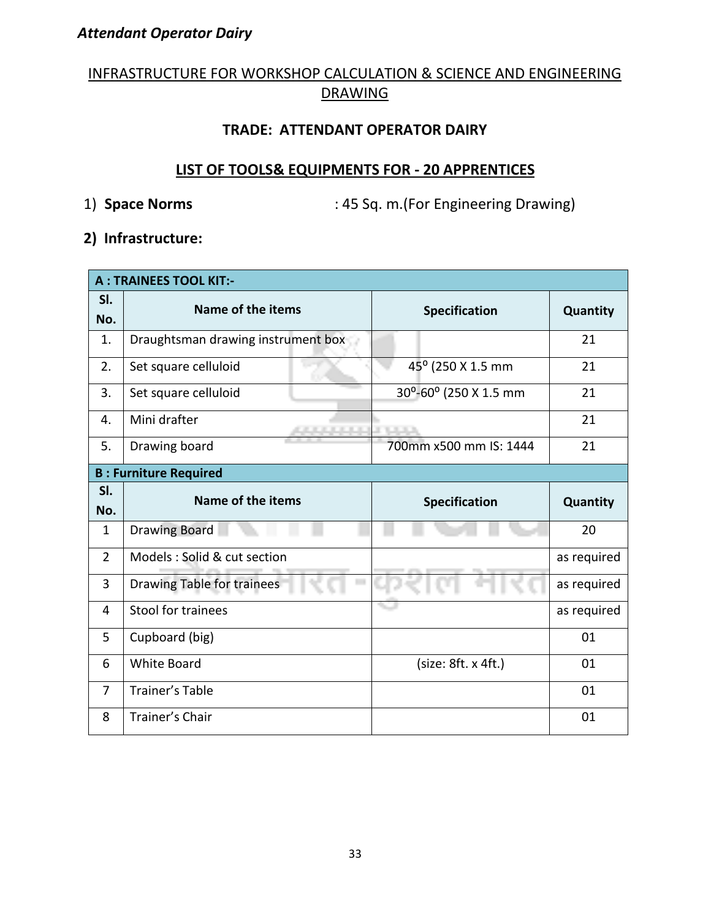#### INFRASTRUCTURE FOR WORKSHOP CALCULATION & SCIENCE AND ENGINEERING DRAWING

#### **TRADE: ATTENDANT OPERATOR DAIRY**

#### **LIST OF TOOLS& EQUIPMENTS FOR - 20 APPRENTICES**

1) **Space Norms** : 45 Sq. m.(For Engineering Drawing)

#### **2) Infrastructure:**

| <b>A: TRAINEES TOOL KIT:-</b> |                                         |                        |             |  |  |  |  |  |  |  |
|-------------------------------|-----------------------------------------|------------------------|-------------|--|--|--|--|--|--|--|
| SI.<br>No.                    | Name of the items                       | <b>Specification</b>   | Quantity    |  |  |  |  |  |  |  |
| 1.                            | Draughtsman drawing instrument box      |                        | 21          |  |  |  |  |  |  |  |
| 2.                            | Set square celluloid                    | 45° (250 X 1.5 mm      | 21          |  |  |  |  |  |  |  |
| 3.                            | Set square celluloid                    | 30°-60° (250 X 1.5 mm  | 21          |  |  |  |  |  |  |  |
| 4.                            | Mini drafter                            | 21                     |             |  |  |  |  |  |  |  |
| 5.                            | Drawing board                           | 700mm x500 mm IS: 1444 | 21          |  |  |  |  |  |  |  |
|                               | <b>B: Furniture Required</b>            |                        |             |  |  |  |  |  |  |  |
| SI.                           | Name of the items                       | <b>Specification</b>   | Quantity    |  |  |  |  |  |  |  |
| No.                           |                                         |                        |             |  |  |  |  |  |  |  |
| $\mathbf{1}$                  | <b>Drawing Board</b>                    |                        | 20          |  |  |  |  |  |  |  |
| $\overline{2}$                | Models : Solid & cut section            |                        | as required |  |  |  |  |  |  |  |
| 3                             | <b>Drawing Table for trainees</b><br>L. |                        | as required |  |  |  |  |  |  |  |
| 4                             | Stool for trainees                      |                        | as required |  |  |  |  |  |  |  |
| 5                             |                                         |                        |             |  |  |  |  |  |  |  |
|                               | Cupboard (big)                          |                        | 01          |  |  |  |  |  |  |  |
| 6                             | <b>White Board</b>                      | (size: 8ft. x 4ft.)    | 01          |  |  |  |  |  |  |  |
| $\overline{7}$                | <b>Trainer's Table</b>                  |                        | 01          |  |  |  |  |  |  |  |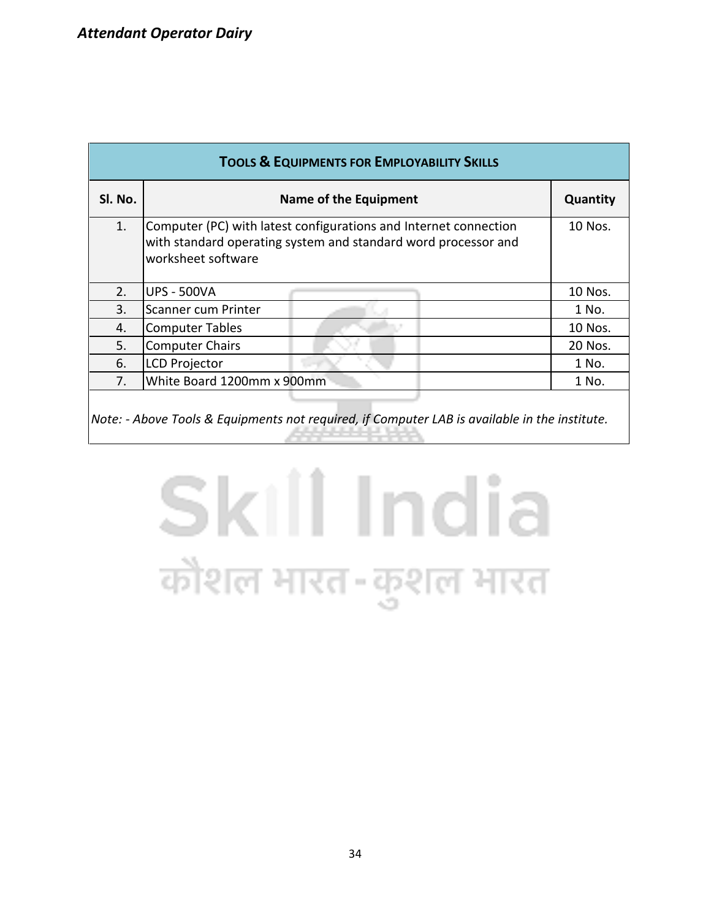| <b>TOOLS &amp; EQUIPMENTS FOR EMPLOYABILITY SKILLS</b> |                                                                                                                                                          |          |  |  |  |  |  |  |  |  |
|--------------------------------------------------------|----------------------------------------------------------------------------------------------------------------------------------------------------------|----------|--|--|--|--|--|--|--|--|
| SI. No.                                                | <b>Name of the Equipment</b>                                                                                                                             | Quantity |  |  |  |  |  |  |  |  |
| 1.                                                     | Computer (PC) with latest configurations and Internet connection<br>with standard operating system and standard word processor and<br>worksheet software | 10 Nos.  |  |  |  |  |  |  |  |  |
| 2.                                                     | <b>UPS - 500VA</b>                                                                                                                                       | 10 Nos.  |  |  |  |  |  |  |  |  |
| 3.                                                     | Scanner cum Printer                                                                                                                                      | 1 No.    |  |  |  |  |  |  |  |  |
| 4.                                                     | <b>Computer Tables</b>                                                                                                                                   | 10 Nos.  |  |  |  |  |  |  |  |  |
| 5.                                                     | <b>Computer Chairs</b>                                                                                                                                   | 20 Nos.  |  |  |  |  |  |  |  |  |
| 6.                                                     | <b>LCD Projector</b>                                                                                                                                     | 1 No.    |  |  |  |  |  |  |  |  |
| 7.                                                     | White Board 1200mm x 900mm                                                                                                                               | 1 No.    |  |  |  |  |  |  |  |  |
|                                                        |                                                                                                                                                          |          |  |  |  |  |  |  |  |  |

*Note: - Above Tools & Equipments not required, if Computer LAB is available in the institute.*

### Skill India कौशल भारत-कुशल भारत